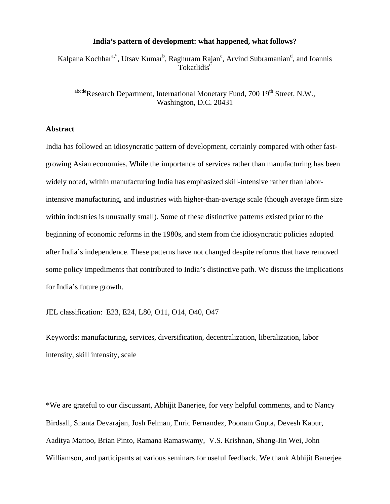## **India's pattern of development: what happened, what follows?**

Kalpana Kochhar<sup>a,\*</sup>, Utsav Kumar<sup>b</sup>, Raghuram Rajan<sup>c</sup>, Arvind Subramanian<sup>d</sup>, and Ioannis Tokatlidis<sup>e</sup>

abcdeResearch Department, International Monetary Fund, 700 19<sup>th</sup> Street, N.W., Washington, D.C. 20431

## **Abstract**

India has followed an idiosyncratic pattern of development, certainly compared with other fastgrowing Asian economies. While the importance of services rather than manufacturing has been widely noted, within manufacturing India has emphasized skill-intensive rather than laborintensive manufacturing, and industries with higher-than-average scale (though average firm size within industries is unusually small). Some of these distinctive patterns existed prior to the beginning of economic reforms in the 1980s, and stem from the idiosyncratic policies adopted after India's independence. These patterns have not changed despite reforms that have removed some policy impediments that contributed to India's distinctive path. We discuss the implications for India's future growth.

JEL classification: E23, E24, L80, O11, O14, O40, O47

Keywords: manufacturing, services, diversification, decentralization, liberalization, labor intensity, skill intensity, scale

\*We are grateful to our discussant, Abhijit Banerjee, for very helpful comments, and to Nancy Birdsall, Shanta Devarajan, Josh Felman, Enric Fernandez, Poonam Gupta, Devesh Kapur, Aaditya Mattoo, Brian Pinto, Ramana Ramaswamy, V.S. Krishnan, Shang-Jin Wei, John Williamson, and participants at various seminars for useful feedback. We thank Abhijit Banerjee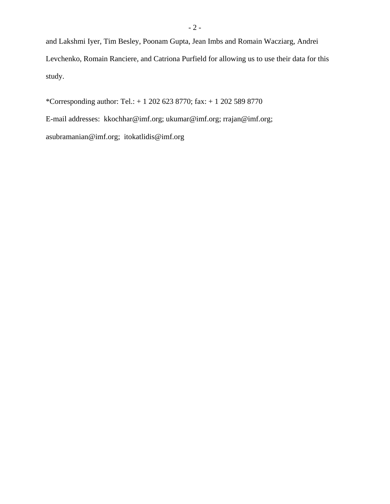and Lakshmi Iyer, Tim Besley, Poonam Gupta, Jean Imbs and Romain Wacziarg, Andrei Levchenko, Romain Ranciere, and Catriona Purfield for allowing us to use their data for this study.

\*Corresponding author: Tel.: + 1 202 623 8770; fax: + 1 202 589 8770

E-mail addresses: kkochhar@imf.org; ukumar@imf.org; rrajan@imf.org; asubramanian@imf.org; itokatlidis@imf.org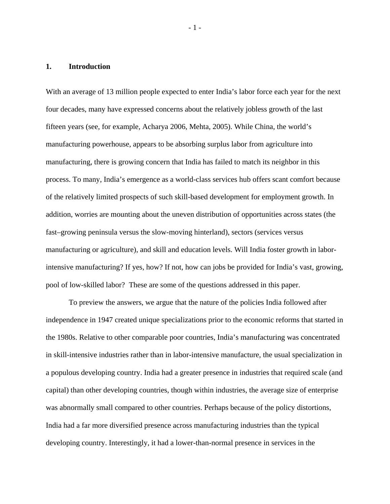## **1. Introduction**

With an average of 13 million people expected to enter India's labor force each year for the next four decades, many have expressed concerns about the relatively jobless growth of the last fifteen years (see, for example, Acharya 2006, Mehta, 2005). While China, the world's manufacturing powerhouse, appears to be absorbing surplus labor from agriculture into manufacturing, there is growing concern that India has failed to match its neighbor in this process. To many, India's emergence as a world-class services hub offers scant comfort because of the relatively limited prospects of such skill-based development for employment growth. In addition, worries are mounting about the uneven distribution of opportunities across states (the fast–growing peninsula versus the slow-moving hinterland), sectors (services versus manufacturing or agriculture), and skill and education levels. Will India foster growth in laborintensive manufacturing? If yes, how? If not, how can jobs be provided for India's vast, growing, pool of low-skilled labor? These are some of the questions addressed in this paper.

To preview the answers, we argue that the nature of the policies India followed after independence in 1947 created unique specializations prior to the economic reforms that started in the 1980s. Relative to other comparable poor countries, India's manufacturing was concentrated in skill-intensive industries rather than in labor-intensive manufacture, the usual specialization in a populous developing country. India had a greater presence in industries that required scale (and capital) than other developing countries, though within industries, the average size of enterprise was abnormally small compared to other countries. Perhaps because of the policy distortions, India had a far more diversified presence across manufacturing industries than the typical developing country. Interestingly, it had a lower-than-normal presence in services in the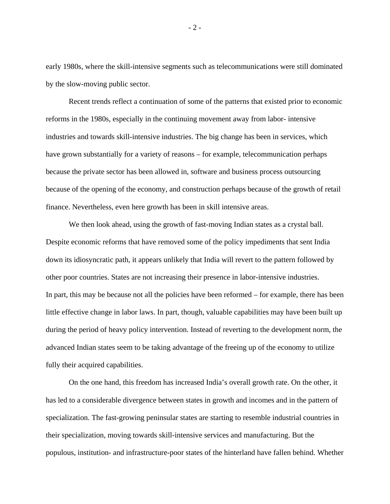early 1980s, where the skill-intensive segments such as telecommunications were still dominated by the slow-moving public sector.

Recent trends reflect a continuation of some of the patterns that existed prior to economic reforms in the 1980s, especially in the continuing movement away from labor- intensive industries and towards skill-intensive industries. The big change has been in services, which have grown substantially for a variety of reasons – for example, telecommunication perhaps because the private sector has been allowed in, software and business process outsourcing because of the opening of the economy, and construction perhaps because of the growth of retail finance. Nevertheless, even here growth has been in skill intensive areas.

We then look ahead, using the growth of fast-moving Indian states as a crystal ball. Despite economic reforms that have removed some of the policy impediments that sent India down its idiosyncratic path, it appears unlikely that India will revert to the pattern followed by other poor countries. States are not increasing their presence in labor-intensive industries. In part, this may be because not all the policies have been reformed – for example, there has been little effective change in labor laws. In part, though, valuable capabilities may have been built up during the period of heavy policy intervention. Instead of reverting to the development norm, the advanced Indian states seem to be taking advantage of the freeing up of the economy to utilize fully their acquired capabilities.

On the one hand, this freedom has increased India's overall growth rate. On the other, it has led to a considerable divergence between states in growth and incomes and in the pattern of specialization. The fast-growing peninsular states are starting to resemble industrial countries in their specialization, moving towards skill-intensive services and manufacturing. But the populous, institution- and infrastructure-poor states of the hinterland have fallen behind. Whether

- 2 -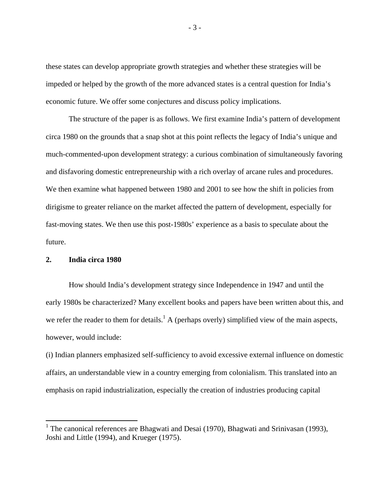these states can develop appropriate growth strategies and whether these strategies will be impeded or helped by the growth of the more advanced states is a central question for India's economic future. We offer some conjectures and discuss policy implications.

The structure of the paper is as follows. We first examine India's pattern of development circa 1980 on the grounds that a snap shot at this point reflects the legacy of India's unique and much-commented-upon development strategy: a curious combination of simultaneously favoring and disfavoring domestic entrepreneurship with a rich overlay of arcane rules and procedures. We then examine what happened between 1980 and 2001 to see how the shift in policies from dirigisme to greater reliance on the market affected the pattern of development, especially for fast-moving states. We then use this post-1980s' experience as a basis to speculate about the future.

## **2. India circa 1980**

1

How should India's development strategy since Independence in 1947 and until the early 1980s be characterized? Many excellent books and papers have been written about this, and we refer the reader to them for details.<sup>1</sup> A (perhaps overly) simplified view of the main aspects, however, would include:

(i) Indian planners emphasized self-sufficiency to avoid excessive external influence on domestic affairs, an understandable view in a country emerging from colonialism. This translated into an emphasis on rapid industrialization, especially the creation of industries producing capital

<sup>&</sup>lt;sup>1</sup> The canonical references are Bhagwati and Desai (1970), Bhagwati and Srinivasan (1993), Joshi and Little (1994), and Krueger (1975).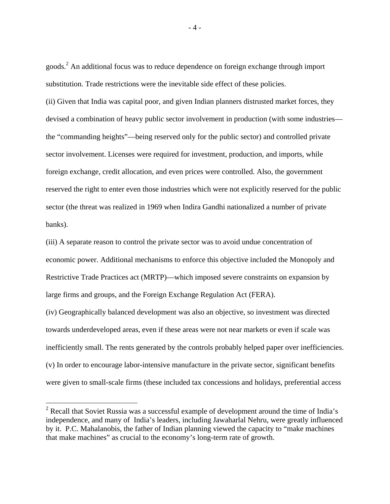goods.<sup>2</sup> An additional focus was to reduce dependence on foreign exchange through import substitution. Trade restrictions were the inevitable side effect of these policies.

(ii) Given that India was capital poor, and given Indian planners distrusted market forces, they devised a combination of heavy public sector involvement in production (with some industries the "commanding heights"—being reserved only for the public sector) and controlled private sector involvement. Licenses were required for investment, production, and imports, while foreign exchange, credit allocation, and even prices were controlled. Also, the government reserved the right to enter even those industries which were not explicitly reserved for the public sector (the threat was realized in 1969 when Indira Gandhi nationalized a number of private banks).

(iii) A separate reason to control the private sector was to avoid undue concentration of economic power. Additional mechanisms to enforce this objective included the Monopoly and Restrictive Trade Practices act (MRTP)—which imposed severe constraints on expansion by large firms and groups, and the Foreign Exchange Regulation Act (FERA).

(iv) Geographically balanced development was also an objective, so investment was directed towards underdeveloped areas, even if these areas were not near markets or even if scale was inefficiently small. The rents generated by the controls probably helped paper over inefficiencies. (v) In order to encourage labor-intensive manufacture in the private sector, significant benefits were given to small-scale firms (these included tax concessions and holidays, preferential access

 $\overline{a}$ 

 $2^2$  Recall that Soviet Russia was a successful example of development around the time of India's independence, and many of India's leaders, including Jawaharlal Nehru, were greatly influenced by it. P.C. Mahalanobis, the father of Indian planning viewed the capacity to "make machines that make machines" as crucial to the economy's long-term rate of growth.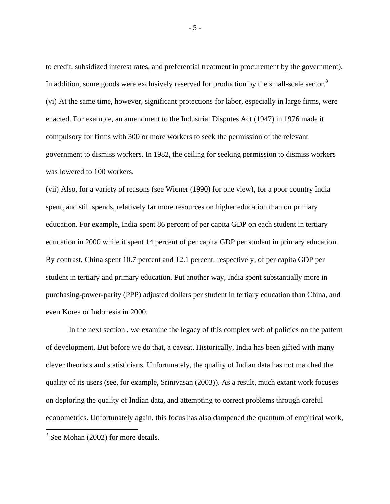to credit, subsidized interest rates, and preferential treatment in procurement by the government). In addition, some goods were exclusively reserved for production by the small-scale sector.<sup>3</sup> (vi) At the same time, however, significant protections for labor, especially in large firms, were enacted. For example, an amendment to the Industrial Disputes Act (1947) in 1976 made it compulsory for firms with 300 or more workers to seek the permission of the relevant government to dismiss workers. In 1982, the ceiling for seeking permission to dismiss workers was lowered to 100 workers.

(vii) Also, for a variety of reasons (see Wiener (1990) for one view), for a poor country India spent, and still spends, relatively far more resources on higher education than on primary education. For example, India spent 86 percent of per capita GDP on each student in tertiary education in 2000 while it spent 14 percent of per capita GDP per student in primary education. By contrast, China spent 10.7 percent and 12.1 percent, respectively, of per capita GDP per student in tertiary and primary education. Put another way, India spent substantially more in purchasing-power-parity (PPP) adjusted dollars per student in tertiary education than China, and even Korea or Indonesia in 2000.

In the next section , we examine the legacy of this complex web of policies on the pattern of development. But before we do that, a caveat. Historically, India has been gifted with many clever theorists and statisticians. Unfortunately, the quality of Indian data has not matched the quality of its users (see, for example, Srinivasan (2003)). As a result, much extant work focuses on deploring the quality of Indian data, and attempting to correct problems through careful econometrics. Unfortunately again, this focus has also dampened the quantum of empirical work,

 $\overline{a}$ 

- 5 -

 $3$  See Mohan (2002) for more details.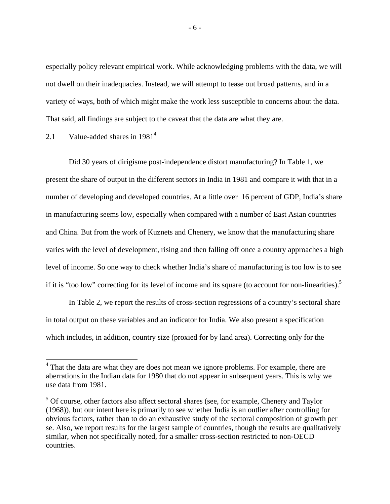especially policy relevant empirical work. While acknowledging problems with the data, we will not dwell on their inadequacies. Instead, we will attempt to tease out broad patterns, and in a variety of ways, both of which might make the work less susceptible to concerns about the data. That said, all findings are subject to the caveat that the data are what they are.

2.1 Value-added shares in  $1981<sup>4</sup>$ 

Did 30 years of dirigisme post-independence distort manufacturing? In Table 1, we present the share of output in the different sectors in India in 1981 and compare it with that in a number of developing and developed countries. At a little over 16 percent of GDP, India's share in manufacturing seems low, especially when compared with a number of East Asian countries and China. But from the work of Kuznets and Chenery, we know that the manufacturing share varies with the level of development, rising and then falling off once a country approaches a high level of income. So one way to check whether India's share of manufacturing is too low is to see if it is "too low" correcting for its level of income and its square (to account for non-linearities).<sup>5</sup>

In Table 2, we report the results of cross-section regressions of a country's sectoral share in total output on these variables and an indicator for India. We also present a specification which includes, in addition, country size (proxied for by land area). Correcting only for the

<sup>&</sup>lt;sup>4</sup> That the data are what they are does not mean we ignore problems. For example, there are aberrations in the Indian data for 1980 that do not appear in subsequent years. This is why we use data from 1981.

<sup>&</sup>lt;sup>5</sup> Of course, other factors also affect sectoral shares (see, for example, Chenery and Taylor (1968)), but our intent here is primarily to see whether India is an outlier after controlling for obvious factors, rather than to do an exhaustive study of the sectoral composition of growth per se. Also, we report results for the largest sample of countries, though the results are qualitatively similar, when not specifically noted, for a smaller cross-section restricted to non-OECD countries.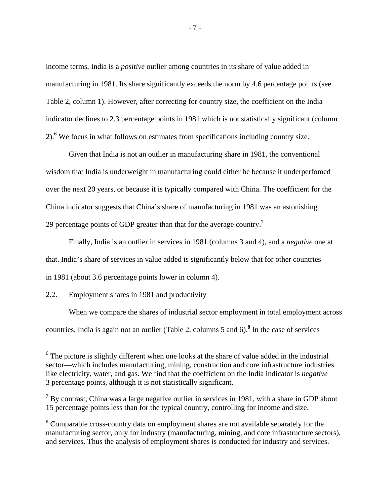income terms, India is a *positive* outlier among countries in its share of value added in manufacturing in 1981. Its share significantly exceeds the norm by 4.6 percentage points (see Table 2, column 1). However, after correcting for country size, the coefficient on the India indicator declines to 2.3 percentage points in 1981 which is not statistically significant (column  $2)$ .<sup>6</sup> We focus in what follows on estimates from specifications including country size.

Given that India is not an outlier in manufacturing share in 1981, the conventional wisdom that India is underweight in manufacturing could either be because it underperfomed over the next 20 years, or because it is typically compared with China. The coefficient for the China indicator suggests that China's share of manufacturing in 1981 was an astonishing 29 percentage points of GDP greater than that for the average country.<sup>7</sup>

Finally, India is an outlier in services in 1981 (columns 3 and 4), and a *negative* one at that. India's share of services in value added is significantly below that for other countries in 1981 (about 3.6 percentage points lower in column 4).

2.2. Employment shares in 1981 and productivity

 $\overline{a}$ 

When we compare the shares of industrial sector employment in total employment across countries, India is again not an outlier (Table 2, columns 5 and 6).**<sup>8</sup>** In the case of services

<sup>&</sup>lt;sup>6</sup> The picture is slightly different when one looks at the share of value added in the industrial sector—which includes manufacturing, mining, construction and core infrastructure industries like electricity, water, and gas. We find that the coefficient on the India indicator is *negative* 3 percentage points, although it is not statistically significant.

 $<sup>7</sup>$  By contrast, China was a large negative outlier in services in 1981, with a share in GDP about</sup> 15 percentage points less than for the typical country, controlling for income and size.

<sup>&</sup>lt;sup>8</sup> Comparable cross-country data on employment shares are not available separately for the manufacturing sector, only for industry (manufacturing, mining, and core infrastructure sectors), and services. Thus the analysis of employment shares is conducted for industry and services.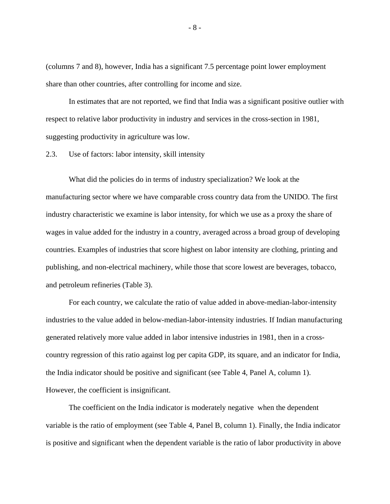(columns 7 and 8), however, India has a significant 7.5 percentage point lower employment share than other countries, after controlling for income and size.

In estimates that are not reported, we find that India was a significant positive outlier with respect to relative labor productivity in industry and services in the cross-section in 1981, suggesting productivity in agriculture was low.

2.3. Use of factors: labor intensity, skill intensity

What did the policies do in terms of industry specialization? We look at the manufacturing sector where we have comparable cross country data from the UNIDO. The first industry characteristic we examine is labor intensity, for which we use as a proxy the share of wages in value added for the industry in a country, averaged across a broad group of developing countries. Examples of industries that score highest on labor intensity are clothing, printing and publishing, and non-electrical machinery, while those that score lowest are beverages, tobacco, and petroleum refineries (Table 3).

For each country, we calculate the ratio of value added in above-median-labor-intensity industries to the value added in below-median-labor-intensity industries. If Indian manufacturing generated relatively more value added in labor intensive industries in 1981, then in a crosscountry regression of this ratio against log per capita GDP, its square, and an indicator for India, the India indicator should be positive and significant (see Table 4, Panel A, column 1). However, the coefficient is insignificant.

The coefficient on the India indicator is moderately negative when the dependent variable is the ratio of employment (see Table 4, Panel B, column 1). Finally, the India indicator is positive and significant when the dependent variable is the ratio of labor productivity in above

- 8 -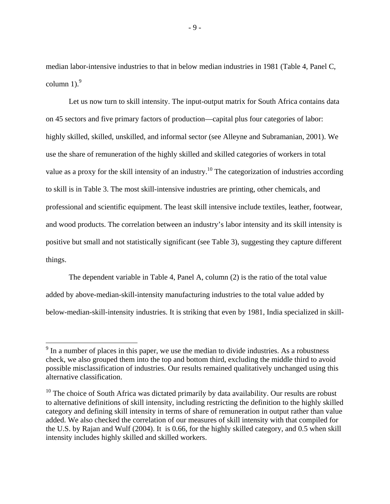median labor-intensive industries to that in below median industries in 1981 (Table 4, Panel C, column  $1$ ).<sup>9</sup>

Let us now turn to skill intensity. The input-output matrix for South Africa contains data on 45 sectors and five primary factors of production—capital plus four categories of labor: highly skilled, skilled, unskilled, and informal sector (see Alleyne and Subramanian, 2001). We use the share of remuneration of the highly skilled and skilled categories of workers in total value as a proxy for the skill intensity of an industry.10 The categorization of industries according to skill is in Table 3. The most skill-intensive industries are printing, other chemicals, and professional and scientific equipment. The least skill intensive include textiles, leather, footwear, and wood products. The correlation between an industry's labor intensity and its skill intensity is positive but small and not statistically significant (see Table 3), suggesting they capture different things.

The dependent variable in Table 4, Panel A, column (2) is the ratio of the total value added by above-median-skill-intensity manufacturing industries to the total value added by below-median-skill-intensity industries. It is striking that even by 1981, India specialized in skill-

 $\overline{a}$ 

 $9<sup>9</sup>$  In a number of places in this paper, we use the median to divide industries. As a robustness check, we also grouped them into the top and bottom third, excluding the middle third to avoid possible misclassification of industries. Our results remained qualitatively unchanged using this alternative classification.

 $10$  The choice of South Africa was dictated primarily by data availability. Our results are robust to alternative definitions of skill intensity, including restricting the definition to the highly skilled category and defining skill intensity in terms of share of remuneration in output rather than value added. We also checked the correlation of our measures of skill intensity with that compiled for the U.S. by Rajan and Wulf (2004). It is 0.66, for the highly skilled category, and 0.5 when skill intensity includes highly skilled and skilled workers.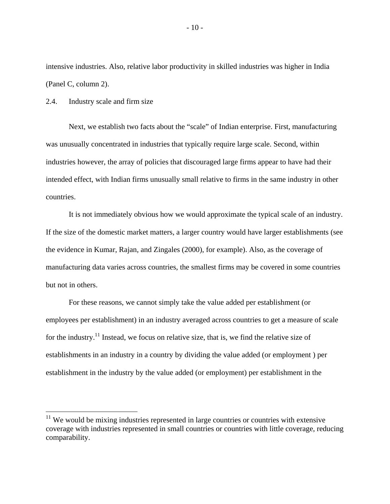intensive industries. Also, relative labor productivity in skilled industries was higher in India (Panel C, column 2).

2.4. Industry scale and firm size

 $\overline{a}$ 

Next, we establish two facts about the "scale" of Indian enterprise. First, manufacturing was unusually concentrated in industries that typically require large scale. Second, within industries however, the array of policies that discouraged large firms appear to have had their intended effect, with Indian firms unusually small relative to firms in the same industry in other countries.

It is not immediately obvious how we would approximate the typical scale of an industry. If the size of the domestic market matters, a larger country would have larger establishments (see the evidence in Kumar, Rajan, and Zingales (2000), for example). Also, as the coverage of manufacturing data varies across countries, the smallest firms may be covered in some countries but not in others.

For these reasons, we cannot simply take the value added per establishment (or employees per establishment) in an industry averaged across countries to get a measure of scale for the industry.<sup>11</sup> Instead, we focus on relative size, that is, we find the relative size of establishments in an industry in a country by dividing the value added (or employment ) per establishment in the industry by the value added (or employment) per establishment in the

 $11$  We would be mixing industries represented in large countries or countries with extensive coverage with industries represented in small countries or countries with little coverage, reducing comparability.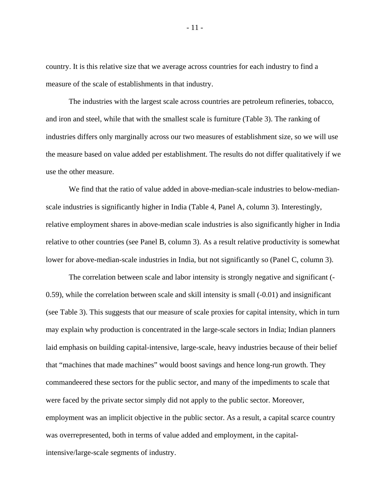country. It is this relative size that we average across countries for each industry to find a measure of the scale of establishments in that industry.

The industries with the largest scale across countries are petroleum refineries, tobacco, and iron and steel, while that with the smallest scale is furniture (Table 3). The ranking of industries differs only marginally across our two measures of establishment size, so we will use the measure based on value added per establishment. The results do not differ qualitatively if we use the other measure.

We find that the ratio of value added in above-median-scale industries to below-medianscale industries is significantly higher in India (Table 4, Panel A, column 3). Interestingly, relative employment shares in above-median scale industries is also significantly higher in India relative to other countries (see Panel B, column 3). As a result relative productivity is somewhat lower for above-median-scale industries in India, but not significantly so (Panel C, column 3).

The correlation between scale and labor intensity is strongly negative and significant (- 0.59), while the correlation between scale and skill intensity is small (-0.01) and insignificant (see Table 3). This suggests that our measure of scale proxies for capital intensity, which in turn may explain why production is concentrated in the large-scale sectors in India; Indian planners laid emphasis on building capital-intensive, large-scale, heavy industries because of their belief that "machines that made machines" would boost savings and hence long-run growth. They commandeered these sectors for the public sector, and many of the impediments to scale that were faced by the private sector simply did not apply to the public sector. Moreover, employment was an implicit objective in the public sector. As a result, a capital scarce country was overrepresented, both in terms of value added and employment, in the capitalintensive/large-scale segments of industry.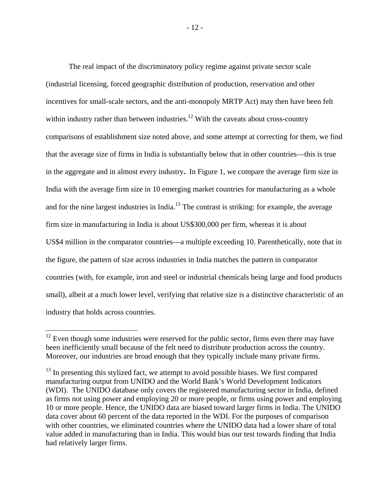The real impact of the discriminatory policy regime against private sector scale (industrial licensing, forced geographic distribution of production, reservation and other incentives for small-scale sectors, and the anti-monopoly MRTP Act) may then have been felt within industry rather than between industries.<sup>12</sup> With the caveats about cross-country comparisons of establishment size noted above, and some attempt at correcting for them, we find that the average size of firms in India is substantially below that in other countries—this is true in the aggregate and in almost every industry**.** In Figure 1, we compare the average firm size in India with the average firm size in 10 emerging market countries for manufacturing as a whole and for the nine largest industries in India.<sup>13</sup> The contrast is striking: for example, the average firm size in manufacturing in India is about US\$300,000 per firm, whereas it is about US\$4 million in the comparator countries—a multiple exceeding 10. Parenthetically, note that in the figure, the pattern of size across industries in India matches the pattern in comparator countries (with, for example, iron and steel or industrial chemicals being large and food products small), albeit at a much lower level, verifying that relative size is a distinctive characteristic of an industry that holds across countries.

1

 $12$  Even though some industries were reserved for the public sector, firms even there may have been inefficiently small because of the felt need to distribute production across the country. Moreover, our industries are broad enough that they typically include many private firms.

 $13$  In presenting this stylized fact, we attempt to avoid possible biases. We first compared manufacturing output from UNIDO and the World Bank's World Development Indicators (WDI). The UNIDO database only covers the registered manufacturing sector in India, defined as firms not using power and employing 20 or more people, or firms using power and employing 10 or more people. Hence, the UNIDO data are biased toward larger firms in India. The UNIDO data cover about 60 percent of the data reported in the WDI. For the purposes of comparison with other countries, we eliminated countries where the UNIDO data had a lower share of total value added in manufacturing than in India. This would bias our test towards finding that India had relatively larger firms.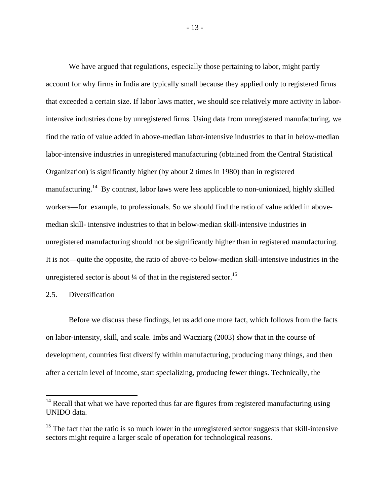We have argued that regulations, especially those pertaining to labor, might partly account for why firms in India are typically small because they applied only to registered firms that exceeded a certain size. If labor laws matter, we should see relatively more activity in laborintensive industries done by unregistered firms. Using data from unregistered manufacturing, we find the ratio of value added in above-median labor-intensive industries to that in below-median labor-intensive industries in unregistered manufacturing (obtained from the Central Statistical Organization) is significantly higher (by about 2 times in 1980) than in registered manufacturing.<sup>14</sup> By contrast, labor laws were less applicable to non-unionized, highly skilled workers—for example, to professionals. So we should find the ratio of value added in abovemedian skill- intensive industries to that in below-median skill-intensive industries in unregistered manufacturing should not be significantly higher than in registered manufacturing. It is not—quite the opposite, the ratio of above-to below-median skill-intensive industries in the unregistered sector is about  $\frac{1}{4}$  of that in the registered sector.<sup>15</sup>

2.5. Diversification

 $\overline{a}$ 

Before we discuss these findings, let us add one more fact, which follows from the facts on labor-intensity, skill, and scale. Imbs and Wacziarg (2003) show that in the course of development, countries first diversify within manufacturing, producing many things, and then after a certain level of income, start specializing, producing fewer things. Technically, the

<sup>&</sup>lt;sup>14</sup> Recall that what we have reported thus far are figures from registered manufacturing using UNIDO data.

 $15$  The fact that the ratio is so much lower in the unregistered sector suggests that skill-intensive sectors might require a larger scale of operation for technological reasons.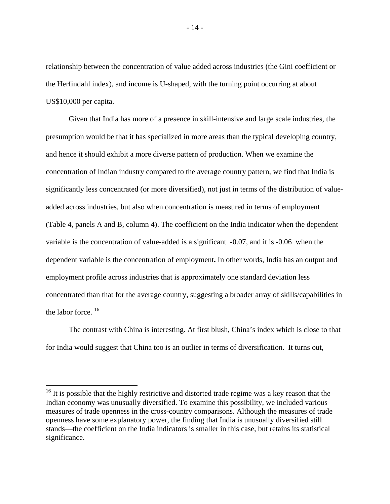relationship between the concentration of value added across industries (the Gini coefficient or the Herfindahl index), and income is U-shaped, with the turning point occurring at about US\$10,000 per capita.

Given that India has more of a presence in skill-intensive and large scale industries, the presumption would be that it has specialized in more areas than the typical developing country, and hence it should exhibit a more diverse pattern of production. When we examine the concentration of Indian industry compared to the average country pattern, we find that India is significantly less concentrated (or more diversified), not just in terms of the distribution of valueadded across industries, but also when concentration is measured in terms of employment (Table 4, panels A and B, column 4). The coefficient on the India indicator when the dependent variable is the concentration of value-added is a significant -0.07, and it is -0.06 when the dependent variable is the concentration of employment**.** In other words, India has an output and employment profile across industries that is approximately one standard deviation less concentrated than that for the average country, suggesting a broader array of skills/capabilities in the labor force.  $16$ 

The contrast with China is interesting. At first blush, China's index which is close to that for India would suggest that China too is an outlier in terms of diversification. It turns out,

 $\overline{a}$ 

 $16$  It is possible that the highly restrictive and distorted trade regime was a key reason that the Indian economy was unusually diversified. To examine this possibility, we included various measures of trade openness in the cross-country comparisons. Although the measures of trade openness have some explanatory power, the finding that India is unusually diversified still stands—the coefficient on the India indicators is smaller in this case, but retains its statistical significance.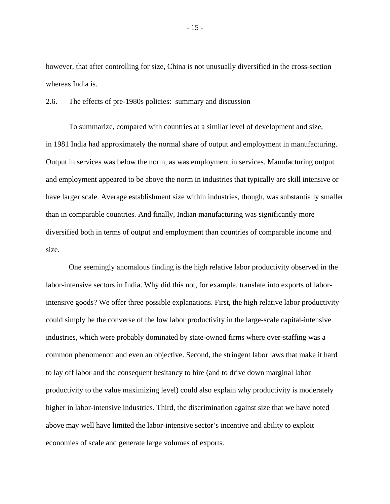however, that after controlling for size, China is not unusually diversified in the cross-section whereas India is.

2.6. The effects of pre-1980s policies: summary and discussion

To summarize, compared with countries at a similar level of development and size, in 1981 India had approximately the normal share of output and employment in manufacturing. Output in services was below the norm, as was employment in services. Manufacturing output and employment appeared to be above the norm in industries that typically are skill intensive or have larger scale. Average establishment size within industries, though, was substantially smaller than in comparable countries. And finally, Indian manufacturing was significantly more diversified both in terms of output and employment than countries of comparable income and size.

One seemingly anomalous finding is the high relative labor productivity observed in the labor-intensive sectors in India. Why did this not, for example, translate into exports of laborintensive goods? We offer three possible explanations. First, the high relative labor productivity could simply be the converse of the low labor productivity in the large-scale capital-intensive industries, which were probably dominated by state-owned firms where over-staffing was a common phenomenon and even an objective. Second, the stringent labor laws that make it hard to lay off labor and the consequent hesitancy to hire (and to drive down marginal labor productivity to the value maximizing level) could also explain why productivity is moderately higher in labor-intensive industries. Third, the discrimination against size that we have noted above may well have limited the labor-intensive sector's incentive and ability to exploit economies of scale and generate large volumes of exports.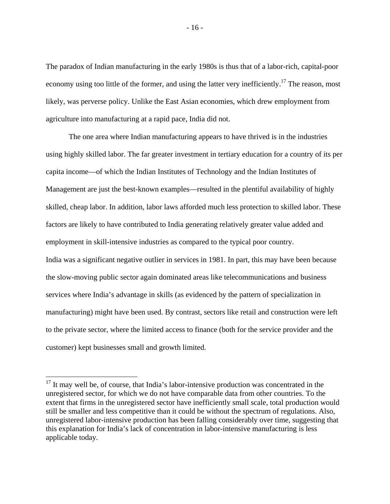The paradox of Indian manufacturing in the early 1980s is thus that of a labor-rich, capital-poor economy using too little of the former, and using the latter very inefficiently.<sup>17</sup> The reason, most likely, was perverse policy. Unlike the East Asian economies, which drew employment from agriculture into manufacturing at a rapid pace, India did not.

The one area where Indian manufacturing appears to have thrived is in the industries using highly skilled labor. The far greater investment in tertiary education for a country of its per capita income—of which the Indian Institutes of Technology and the Indian Institutes of Management are just the best-known examples—resulted in the plentiful availability of highly skilled, cheap labor. In addition, labor laws afforded much less protection to skilled labor. These factors are likely to have contributed to India generating relatively greater value added and employment in skill-intensive industries as compared to the typical poor country. India was a significant negative outlier in services in 1981. In part, this may have been because the slow-moving public sector again dominated areas like telecommunications and business services where India's advantage in skills (as evidenced by the pattern of specialization in manufacturing) might have been used. By contrast, sectors like retail and construction were left to the private sector, where the limited access to finance (both for the service provider and the customer) kept businesses small and growth limited.

 $\overline{a}$ 

 $17$  It may well be, of course, that India's labor-intensive production was concentrated in the unregistered sector, for which we do not have comparable data from other countries. To the extent that firms in the unregistered sector have inefficiently small scale, total production would still be smaller and less competitive than it could be without the spectrum of regulations. Also, unregistered labor-intensive production has been falling considerably over time, suggesting that this explanation for India's lack of concentration in labor-intensive manufacturing is less applicable today.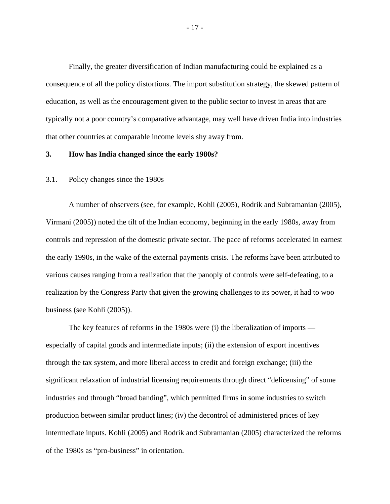Finally, the greater diversification of Indian manufacturing could be explained as a consequence of all the policy distortions. The import substitution strategy, the skewed pattern of education, as well as the encouragement given to the public sector to invest in areas that are typically not a poor country's comparative advantage, may well have driven India into industries that other countries at comparable income levels shy away from.

## **3. How has India changed since the early 1980s?**

## 3.1. Policy changes since the 1980s

A number of observers (see, for example, Kohli (2005), Rodrik and Subramanian (2005), Virmani (2005)) noted the tilt of the Indian economy, beginning in the early 1980s, away from controls and repression of the domestic private sector. The pace of reforms accelerated in earnest the early 1990s, in the wake of the external payments crisis. The reforms have been attributed to various causes ranging from a realization that the panoply of controls were self-defeating, to a realization by the Congress Party that given the growing challenges to its power, it had to woo business (see Kohli (2005)).

The key features of reforms in the 1980s were (i) the liberalization of imports especially of capital goods and intermediate inputs; (ii) the extension of export incentives through the tax system, and more liberal access to credit and foreign exchange; (iii) the significant relaxation of industrial licensing requirements through direct "delicensing" of some industries and through "broad banding", which permitted firms in some industries to switch production between similar product lines; (iv) the decontrol of administered prices of key intermediate inputs. Kohli (2005) and Rodrik and Subramanian (2005) characterized the reforms of the 1980s as "pro-business" in orientation.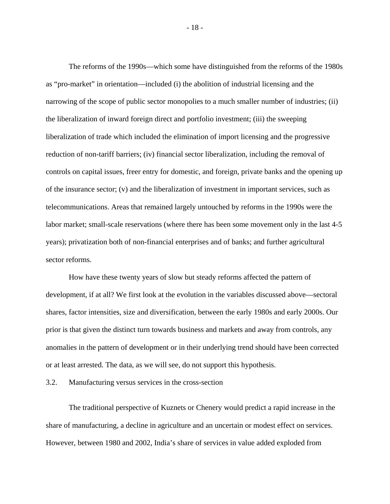The reforms of the 1990s—which some have distinguished from the reforms of the 1980s as "pro-market" in orientation—included (i) the abolition of industrial licensing and the narrowing of the scope of public sector monopolies to a much smaller number of industries; (ii) the liberalization of inward foreign direct and portfolio investment; (iii) the sweeping liberalization of trade which included the elimination of import licensing and the progressive reduction of non-tariff barriers; (iv) financial sector liberalization, including the removal of controls on capital issues, freer entry for domestic, and foreign, private banks and the opening up of the insurance sector; (v) and the liberalization of investment in important services, such as telecommunications. Areas that remained largely untouched by reforms in the 1990s were the labor market; small-scale reservations (where there has been some movement only in the last 4-5 years); privatization both of non-financial enterprises and of banks; and further agricultural sector reforms.

How have these twenty years of slow but steady reforms affected the pattern of development, if at all? We first look at the evolution in the variables discussed above—sectoral shares, factor intensities, size and diversification, between the early 1980s and early 2000s. Our prior is that given the distinct turn towards business and markets and away from controls, any anomalies in the pattern of development or in their underlying trend should have been corrected or at least arrested. The data, as we will see, do not support this hypothesis.

3.2. Manufacturing versus services in the cross-section

The traditional perspective of Kuznets or Chenery would predict a rapid increase in the share of manufacturing, a decline in agriculture and an uncertain or modest effect on services. However, between 1980 and 2002, India's share of services in value added exploded from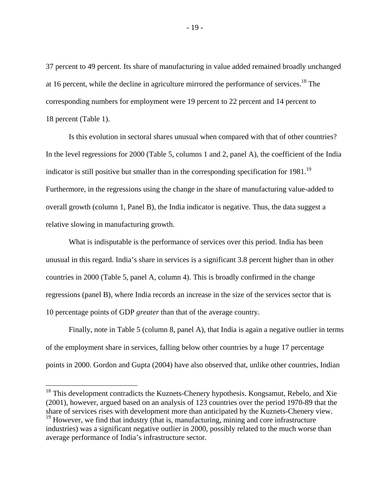37 percent to 49 percent. Its share of manufacturing in value added remained broadly unchanged at 16 percent, while the decline in agriculture mirrored the performance of services.18 The corresponding numbers for employment were 19 percent to 22 percent and 14 percent to 18 percent (Table 1).

Is this evolution in sectoral shares unusual when compared with that of other countries? In the level regressions for 2000 (Table 5, columns 1 and 2, panel A), the coefficient of the India indicator is still positive but smaller than in the corresponding specification for  $1981$ <sup>19</sup> Furthermore, in the regressions using the change in the share of manufacturing value-added to overall growth (column 1, Panel B), the India indicator is negative. Thus, the data suggest a relative slowing in manufacturing growth.

What is indisputable is the performance of services over this period. India has been unusual in this regard. India's share in services is a significant 3.8 percent higher than in other countries in 2000 (Table 5, panel A, column 4). This is broadly confirmed in the change regressions (panel B), where India records an increase in the size of the services sector that is 10 percentage points of GDP *greater* than that of the average country.

Finally, note in Table 5 (column 8, panel A), that India is again a negative outlier in terms of the employment share in services, falling below other countries by a huge 17 percentage points in 2000. Gordon and Gupta (2004) have also observed that, unlike other countries, Indian

 $\overline{a}$ 

<sup>&</sup>lt;sup>18</sup> This development contradicts the Kuznets-Chenery hypothesis. Kongsamut, Rebelo, and Xie (2001), however, argued based on an analysis of 123 countries over the period 1970-89 that the share of services rises with development more than anticipated by the Kuznets-Chenery view.  $19$  However, we find that industry (that is, manufacturing, mining and core infrastructure industries) was a significant negative outlier in 2000, possibly related to the much worse than average performance of India's infrastructure sector.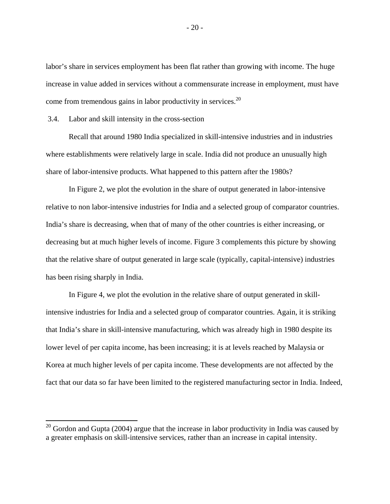labor's share in services employment has been flat rather than growing with income. The huge increase in value added in services without a commensurate increase in employment, must have come from tremendous gains in labor productivity in services. $20$ 

3.4. Labor and skill intensity in the cross-section

 $\overline{a}$ 

Recall that around 1980 India specialized in skill-intensive industries and in industries where establishments were relatively large in scale. India did not produce an unusually high share of labor-intensive products. What happened to this pattern after the 1980s?

In Figure 2, we plot the evolution in the share of output generated in labor-intensive relative to non labor-intensive industries for India and a selected group of comparator countries. India's share is decreasing, when that of many of the other countries is either increasing, or decreasing but at much higher levels of income. Figure 3 complements this picture by showing that the relative share of output generated in large scale (typically, capital-intensive) industries has been rising sharply in India.

In Figure 4, we plot the evolution in the relative share of output generated in skillintensive industries for India and a selected group of comparator countries. Again, it is striking that India's share in skill-intensive manufacturing, which was already high in 1980 despite its lower level of per capita income, has been increasing; it is at levels reached by Malaysia or Korea at much higher levels of per capita income. These developments are not affected by the fact that our data so far have been limited to the registered manufacturing sector in India. Indeed,

 $20$  Gordon and Gupta (2004) argue that the increase in labor productivity in India was caused by a greater emphasis on skill-intensive services, rather than an increase in capital intensity.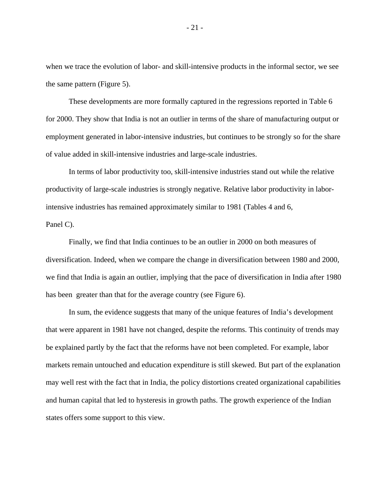when we trace the evolution of labor- and skill-intensive products in the informal sector, we see the same pattern (Figure 5).

These developments are more formally captured in the regressions reported in Table 6 for 2000. They show that India is not an outlier in terms of the share of manufacturing output or employment generated in labor-intensive industries, but continues to be strongly so for the share of value added in skill-intensive industries and large-scale industries.

In terms of labor productivity too, skill-intensive industries stand out while the relative productivity of large-scale industries is strongly negative. Relative labor productivity in laborintensive industries has remained approximately similar to 1981 (Tables 4 and 6, Panel C).

Finally, we find that India continues to be an outlier in 2000 on both measures of diversification. Indeed, when we compare the change in diversification between 1980 and 2000, we find that India is again an outlier, implying that the pace of diversification in India after 1980 has been greater than that for the average country (see Figure 6).

In sum, the evidence suggests that many of the unique features of India's development that were apparent in 1981 have not changed, despite the reforms. This continuity of trends may be explained partly by the fact that the reforms have not been completed. For example, labor markets remain untouched and education expenditure is still skewed. But part of the explanation may well rest with the fact that in India, the policy distortions created organizational capabilities and human capital that led to hysteresis in growth paths. The growth experience of the Indian states offers some support to this view.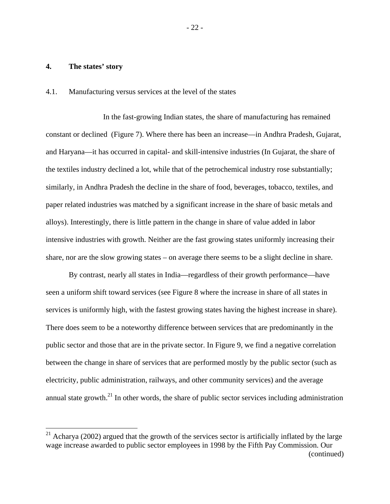## **4. The states' story**

 $\overline{a}$ 

## 4.1. Manufacturing versus services at the level of the states

 In the fast-growing Indian states, the share of manufacturing has remained constant or declined (Figure 7). Where there has been an increase—in Andhra Pradesh, Gujarat, and Haryana—it has occurred in capital- and skill-intensive industries (In Gujarat, the share of the textiles industry declined a lot, while that of the petrochemical industry rose substantially; similarly, in Andhra Pradesh the decline in the share of food, beverages, tobacco, textiles, and paper related industries was matched by a significant increase in the share of basic metals and alloys). Interestingly, there is little pattern in the change in share of value added in labor intensive industries with growth. Neither are the fast growing states uniformly increasing their share, nor are the slow growing states – on average there seems to be a slight decline in share.

By contrast, nearly all states in India—regardless of their growth performance—have seen a uniform shift toward services (see Figure 8 where the increase in share of all states in services is uniformly high, with the fastest growing states having the highest increase in share). There does seem to be a noteworthy difference between services that are predominantly in the public sector and those that are in the private sector. In Figure 9, we find a negative correlation between the change in share of services that are performed mostly by the public sector (such as electricity, public administration, railways, and other community services) and the average annual state growth. $^{21}$  In other words, the share of public sector services including administration

 $21$  Acharya (2002) argued that the growth of the services sector is artificially inflated by the large wage increase awarded to public sector employees in 1998 by the Fifth Pay Commission. Our (continued)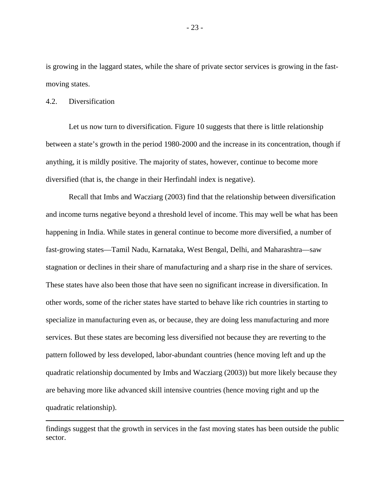is growing in the laggard states, while the share of private sector services is growing in the fastmoving states.

## 4.2. Diversification

1

Let us now turn to diversification. Figure 10 suggests that there is little relationship between a state's growth in the period 1980-2000 and the increase in its concentration, though if anything, it is mildly positive. The majority of states, however, continue to become more diversified (that is, the change in their Herfindahl index is negative).

Recall that Imbs and Wacziarg (2003) find that the relationship between diversification and income turns negative beyond a threshold level of income. This may well be what has been happening in India. While states in general continue to become more diversified, a number of fast-growing states—Tamil Nadu, Karnataka, West Bengal, Delhi, and Maharashtra—saw stagnation or declines in their share of manufacturing and a sharp rise in the share of services. These states have also been those that have seen no significant increase in diversification. In other words, some of the richer states have started to behave like rich countries in starting to specialize in manufacturing even as, or because, they are doing less manufacturing and more services. But these states are becoming less diversified not because they are reverting to the pattern followed by less developed, labor-abundant countries (hence moving left and up the quadratic relationship documented by Imbs and Wacziarg (2003)) but more likely because they are behaving more like advanced skill intensive countries (hence moving right and up the quadratic relationship).

findings suggest that the growth in services in the fast moving states has been outside the public sector.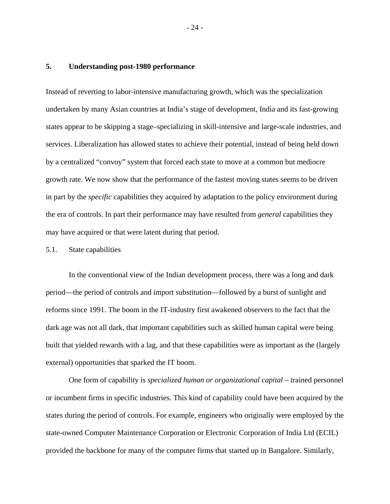#### **5. Understanding post-1980 performance**

Instead of reverting to labor-intensive manufacturing growth, which was the specialization undertaken by many Asian countries at India's stage of development, India and its fast-growing states appear to be skipping a stage–specializing in skill-intensive and large-scale industries, and services. Liberalization has allowed states to achieve their potential, instead of being held down by a centralized "convoy" system that forced each state to move at a common but mediocre growth rate. We now show that the performance of the fastest moving states seems to be driven in part by the *specific* capabilities they acquired by adaptation to the policy environment during the era of controls. In part their performance may have resulted from *general* capabilities they may have acquired or that were latent during that period.

## 5.1. State capabilities

In the conventional view of the Indian development process, there was a long and dark period—the period of controls and import substitution—followed by a burst of sunlight and reforms since 1991. The boom in the IT-industry first awakened observers to the fact that the dark age was not all dark, that important capabilities such as skilled human capital were being built that yielded rewards with a lag, and that these capabilities were as important as the (largely external) opportunities that sparked the IT boom.

One form of capability is *specialized human or organizational capital* – trained personnel or incumbent firms in specific industries. This kind of capability could have been acquired by the states during the period of controls. For example, engineers who originally were employed by the state-owned Computer Maintenance Corporation or Electronic Corporation of India Ltd (ECIL) provided the backbone for many of the computer firms that started up in Bangalore. Similarly,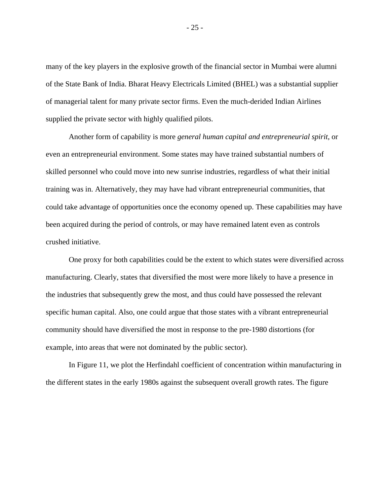many of the key players in the explosive growth of the financial sector in Mumbai were alumni of the State Bank of India. Bharat Heavy Electricals Limited (BHEL) was a substantial supplier of managerial talent for many private sector firms. Even the much-derided Indian Airlines supplied the private sector with highly qualified pilots.

Another form of capability is more *general human capital and entrepreneurial spirit*, or even an entrepreneurial environment. Some states may have trained substantial numbers of skilled personnel who could move into new sunrise industries, regardless of what their initial training was in. Alternatively, they may have had vibrant entrepreneurial communities, that could take advantage of opportunities once the economy opened up. These capabilities may have been acquired during the period of controls, or may have remained latent even as controls crushed initiative.

One proxy for both capabilities could be the extent to which states were diversified across manufacturing. Clearly, states that diversified the most were more likely to have a presence in the industries that subsequently grew the most, and thus could have possessed the relevant specific human capital. Also, one could argue that those states with a vibrant entrepreneurial community should have diversified the most in response to the pre-1980 distortions (for example, into areas that were not dominated by the public sector).

In Figure 11, we plot the Herfindahl coefficient of concentration within manufacturing in the different states in the early 1980s against the subsequent overall growth rates. The figure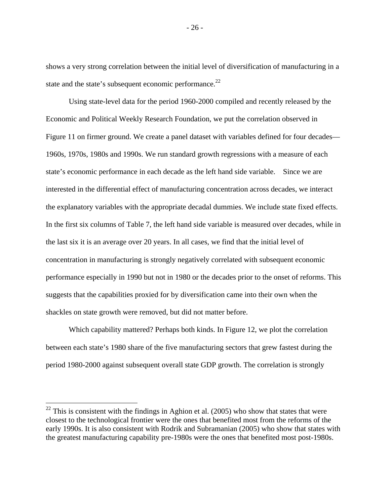shows a very strong correlation between the initial level of diversification of manufacturing in a state and the state's subsequent economic performance. $^{22}$ 

Using state-level data for the period 1960-2000 compiled and recently released by the Economic and Political Weekly Research Foundation, we put the correlation observed in Figure 11 on firmer ground. We create a panel dataset with variables defined for four decades— 1960s, 1970s, 1980s and 1990s. We run standard growth regressions with a measure of each state's economic performance in each decade as the left hand side variable. Since we are interested in the differential effect of manufacturing concentration across decades, we interact the explanatory variables with the appropriate decadal dummies. We include state fixed effects. In the first six columns of Table 7, the left hand side variable is measured over decades, while in the last six it is an average over 20 years. In all cases, we find that the initial level of concentration in manufacturing is strongly negatively correlated with subsequent economic performance especially in 1990 but not in 1980 or the decades prior to the onset of reforms. This suggests that the capabilities proxied for by diversification came into their own when the shackles on state growth were removed, but did not matter before.

Which capability mattered? Perhaps both kinds. In Figure 12, we plot the correlation between each state's 1980 share of the five manufacturing sectors that grew fastest during the period 1980-2000 against subsequent overall state GDP growth. The correlation is strongly

 $\overline{a}$ 

 $22$  This is consistent with the findings in Aghion et al. (2005) who show that states that were closest to the technological frontier were the ones that benefited most from the reforms of the early 1990s. It is also consistent with Rodrik and Subramanian (2005) who show that states with the greatest manufacturing capability pre-1980s were the ones that benefited most post-1980s.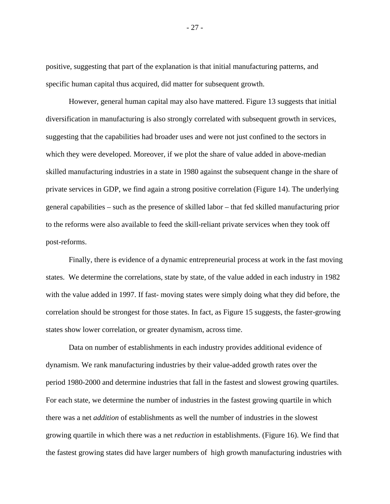positive, suggesting that part of the explanation is that initial manufacturing patterns, and specific human capital thus acquired, did matter for subsequent growth.

However, general human capital may also have mattered. Figure 13 suggests that initial diversification in manufacturing is also strongly correlated with subsequent growth in services, suggesting that the capabilities had broader uses and were not just confined to the sectors in which they were developed. Moreover, if we plot the share of value added in above-median skilled manufacturing industries in a state in 1980 against the subsequent change in the share of private services in GDP, we find again a strong positive correlation (Figure 14). The underlying general capabilities – such as the presence of skilled labor – that fed skilled manufacturing prior to the reforms were also available to feed the skill-reliant private services when they took off post-reforms.

Finally, there is evidence of a dynamic entrepreneurial process at work in the fast moving states. We determine the correlations, state by state, of the value added in each industry in 1982 with the value added in 1997. If fast- moving states were simply doing what they did before, the correlation should be strongest for those states. In fact, as Figure 15 suggests, the faster-growing states show lower correlation, or greater dynamism, across time.

 Data on number of establishments in each industry provides additional evidence of dynamism. We rank manufacturing industries by their value-added growth rates over the period 1980-2000 and determine industries that fall in the fastest and slowest growing quartiles. For each state, we determine the number of industries in the fastest growing quartile in which there was a net *addition* of establishments as well the number of industries in the slowest growing quartile in which there was a net *reduction* in establishments. (Figure 16). We find that the fastest growing states did have larger numbers of high growth manufacturing industries with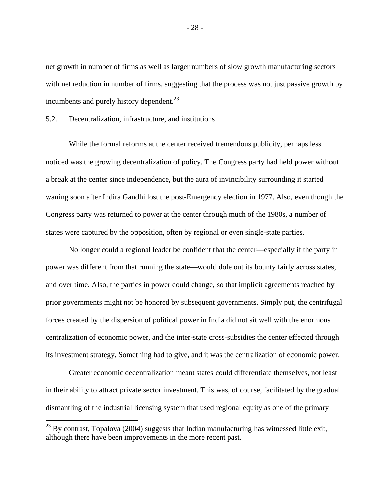net growth in number of firms as well as larger numbers of slow growth manufacturing sectors with net reduction in number of firms, suggesting that the process was not just passive growth by incumbents and purely history dependent. $^{23}$ 

5.2. Decentralization, infrastructure, and institutions

While the formal reforms at the center received tremendous publicity, perhaps less noticed was the growing decentralization of policy. The Congress party had held power without a break at the center since independence, but the aura of invincibility surrounding it started waning soon after Indira Gandhi lost the post-Emergency election in 1977. Also, even though the Congress party was returned to power at the center through much of the 1980s, a number of states were captured by the opposition, often by regional or even single-state parties.

No longer could a regional leader be confident that the center—especially if the party in power was different from that running the state—would dole out its bounty fairly across states, and over time. Also, the parties in power could change, so that implicit agreements reached by prior governments might not be honored by subsequent governments. Simply put, the centrifugal forces created by the dispersion of political power in India did not sit well with the enormous centralization of economic power, and the inter-state cross-subsidies the center effected through its investment strategy. Something had to give, and it was the centralization of economic power.

Greater economic decentralization meant states could differentiate themselves, not least in their ability to attract private sector investment. This was, of course, facilitated by the gradual dismantling of the industrial licensing system that used regional equity as one of the primary

1

 $^{23}$  By contrast, Topalova (2004) suggests that Indian manufacturing has witnessed little exit, although there have been improvements in the more recent past.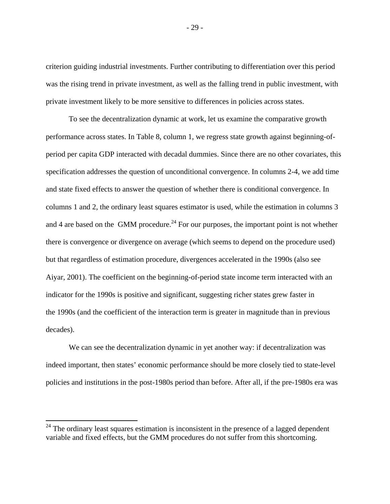criterion guiding industrial investments. Further contributing to differentiation over this period was the rising trend in private investment, as well as the falling trend in public investment, with private investment likely to be more sensitive to differences in policies across states.

To see the decentralization dynamic at work, let us examine the comparative growth performance across states. In Table 8, column 1, we regress state growth against beginning-ofperiod per capita GDP interacted with decadal dummies. Since there are no other covariates, this specification addresses the question of unconditional convergence. In columns 2-4, we add time and state fixed effects to answer the question of whether there is conditional convergence. In columns 1 and 2, the ordinary least squares estimator is used, while the estimation in columns 3 and 4 are based on the GMM procedure.<sup>24</sup> For our purposes, the important point is not whether there is convergence or divergence on average (which seems to depend on the procedure used) but that regardless of estimation procedure, divergences accelerated in the 1990s (also see Aiyar, 2001). The coefficient on the beginning-of-period state income term interacted with an indicator for the 1990s is positive and significant, suggesting richer states grew faster in the 1990s (and the coefficient of the interaction term is greater in magnitude than in previous decades).

We can see the decentralization dynamic in yet another way: if decentralization was indeed important, then states' economic performance should be more closely tied to state-level policies and institutions in the post-1980s period than before. After all, if the pre-1980s era was

1

 $24$  The ordinary least squares estimation is inconsistent in the presence of a lagged dependent variable and fixed effects, but the GMM procedures do not suffer from this shortcoming.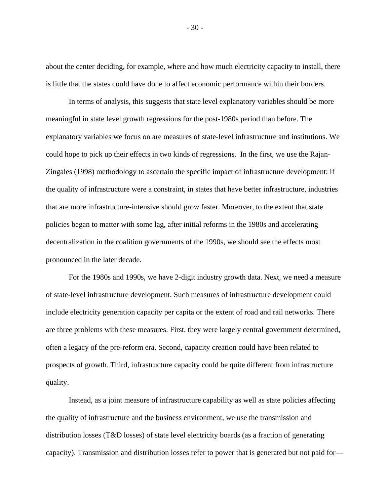about the center deciding, for example, where and how much electricity capacity to install, there is little that the states could have done to affect economic performance within their borders.

In terms of analysis, this suggests that state level explanatory variables should be more meaningful in state level growth regressions for the post-1980s period than before. The explanatory variables we focus on are measures of state-level infrastructure and institutions. We could hope to pick up their effects in two kinds of regressions. In the first, we use the Rajan-Zingales (1998) methodology to ascertain the specific impact of infrastructure development: if the quality of infrastructure were a constraint, in states that have better infrastructure, industries that are more infrastructure-intensive should grow faster. Moreover, to the extent that state policies began to matter with some lag, after initial reforms in the 1980s and accelerating decentralization in the coalition governments of the 1990s, we should see the effects most pronounced in the later decade.

For the 1980s and 1990s, we have 2-digit industry growth data. Next, we need a measure of state-level infrastructure development. Such measures of infrastructure development could include electricity generation capacity per capita or the extent of road and rail networks. There are three problems with these measures. First, they were largely central government determined, often a legacy of the pre-reform era. Second, capacity creation could have been related to prospects of growth. Third, infrastructure capacity could be quite different from infrastructure quality.

Instead, as a joint measure of infrastructure capability as well as state policies affecting the quality of infrastructure and the business environment, we use the transmission and distribution losses (T&D losses) of state level electricity boards (as a fraction of generating capacity). Transmission and distribution losses refer to power that is generated but not paid for—

- 30 -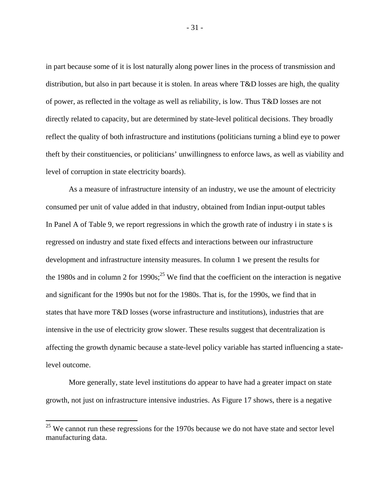in part because some of it is lost naturally along power lines in the process of transmission and distribution, but also in part because it is stolen. In areas where T&D losses are high, the quality of power, as reflected in the voltage as well as reliability, is low. Thus T&D losses are not directly related to capacity, but are determined by state-level political decisions. They broadly reflect the quality of both infrastructure and institutions (politicians turning a blind eye to power theft by their constituencies, or politicians' unwillingness to enforce laws, as well as viability and level of corruption in state electricity boards).

As a measure of infrastructure intensity of an industry, we use the amount of electricity consumed per unit of value added in that industry, obtained from Indian input-output tables In Panel A of Table 9, we report regressions in which the growth rate of industry i in state s is regressed on industry and state fixed effects and interactions between our infrastructure development and infrastructure intensity measures. In column 1 we present the results for the 1980s and in column 2 for 1990s;<sup>25</sup> We find that the coefficient on the interaction is negative and significant for the 1990s but not for the 1980s. That is, for the 1990s, we find that in states that have more T&D losses (worse infrastructure and institutions), industries that are intensive in the use of electricity grow slower. These results suggest that decentralization is affecting the growth dynamic because a state-level policy variable has started influencing a statelevel outcome.

More generally, state level institutions do appear to have had a greater impact on state growth, not just on infrastructure intensive industries. As Figure 17 shows, there is a negative

1

- 31 -

 $25$  We cannot run these regressions for the 1970s because we do not have state and sector level manufacturing data.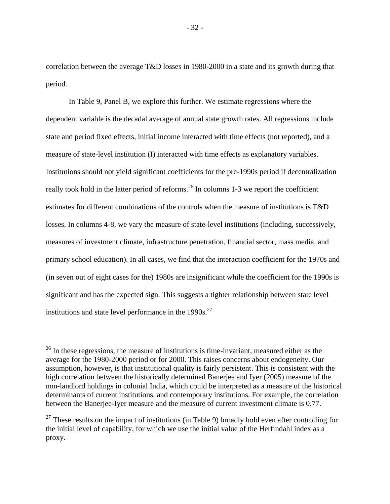correlation between the average T&D losses in 1980-2000 in a state and its growth during that period.

In Table 9, Panel B, we explore this further. We estimate regressions where the dependent variable is the decadal average of annual state growth rates. All regressions include state and period fixed effects, initial income interacted with time effects (not reported), and a measure of state-level institution (I) interacted with time effects as explanatory variables. Institutions should not yield significant coefficients for the pre-1990s period if decentralization really took hold in the latter period of reforms.<sup>26</sup> In columns 1-3 we report the coefficient estimates for different combinations of the controls when the measure of institutions is T&D losses. In columns 4-8, we vary the measure of state-level institutions (including, successively, measures of investment climate, infrastructure penetration, financial sector, mass media, and primary school education). In all cases, we find that the interaction coefficient for the 1970s and (in seven out of eight cases for the) 1980s are insignificant while the coefficient for the 1990s is significant and has the expected sign. This suggests a tighter relationship between state level institutions and state level performance in the  $1990s$ .<sup>27</sup>

 $\overline{a}$ 

 $26$  In these regressions, the measure of institutions is time-invariant, measured either as the average for the 1980-2000 period or for 2000. This raises concerns about endogeneity. Our assumption, however, is that institutional quality is fairly persistent. This is consistent with the high correlation between the historically determined Banerjee and Iyer (2005) measure of the non-landlord holdings in colonial India, which could be interpreted as a measure of the historical determinants of current institutions, and contemporary institutions. For example, the correlation between the Banerjee-Iyer measure and the measure of current investment climate is 0.77.

 $27$  These results on the impact of institutions (in Table 9) broadly hold even after controlling for the initial level of capability, for which we use the initial value of the Herfindahl index as a proxy.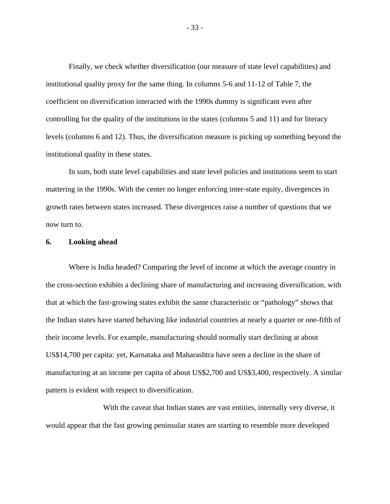Finally, we check whether diversification (our measure of state level capabilities) and institutional quality proxy for the same thing. In columns 5-6 and 11-12 of Table 7, the coefficient on diversification interacted with the 1990s dummy is significant even after controlling for the quality of the institutions in the states (columns 5 and 11) and for literacy levels (columns 6 and 12). Thus, the diversification measure is picking up something beyond the institutional quality in these states.

In sum, both state level capabilities and state level policies and institutions seem to start mattering in the 1990s. With the center no longer enforcing inter-state equity, divergences in growth rates between states increased. These divergences raise a number of questions that we now turn to.

## **6. Looking ahead**

Where is India headed? Comparing the level of income at which the average country in the cross-section exhibits a declining share of manufacturing and increasing diversification, with that at which the fast-growing states exhibit the same characteristic or "pathology" shows that the Indian states have started behaving like industrial countries at nearly a quarter or one-fifth of their income levels. For example, manufacturing should normally start declining at about US\$14,700 per capita: yet, Karnataka and Maharashtra have seen a decline in the share of manufacturing at an income per capita of about US\$2,700 and US\$3,400, respectively. A similar pattern is evident with respect to diversification.

 With the caveat that Indian states are vast entities, internally very diverse, it would appear that the fast growing peninsular states are starting to resemble more developed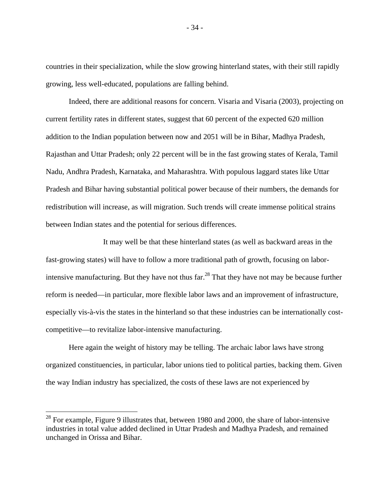countries in their specialization, while the slow growing hinterland states, with their still rapidly growing, less well-educated, populations are falling behind.

Indeed, there are additional reasons for concern. Visaria and Visaria (2003), projecting on current fertility rates in different states, suggest that 60 percent of the expected 620 million addition to the Indian population between now and 2051 will be in Bihar, Madhya Pradesh, Rajasthan and Uttar Pradesh; only 22 percent will be in the fast growing states of Kerala, Tamil Nadu, Andhra Pradesh, Karnataka, and Maharashtra. With populous laggard states like Uttar Pradesh and Bihar having substantial political power because of their numbers, the demands for redistribution will increase, as will migration. Such trends will create immense political strains between Indian states and the potential for serious differences.

 It may well be that these hinterland states (as well as backward areas in the fast-growing states) will have to follow a more traditional path of growth, focusing on laborintensive manufacturing. But they have not thus far.<sup>28</sup> That they have not may be because further reform is needed—in particular, more flexible labor laws and an improvement of infrastructure, especially vis-à-vis the states in the hinterland so that these industries can be internationally costcompetitive—to revitalize labor-intensive manufacturing.

Here again the weight of history may be telling. The archaic labor laws have strong organized constituencies, in particular, labor unions tied to political parties, backing them. Given the way Indian industry has specialized, the costs of these laws are not experienced by

 $\overline{a}$ 

 $^{28}$  For example, Figure 9 illustrates that, between 1980 and 2000, the share of labor-intensive industries in total value added declined in Uttar Pradesh and Madhya Pradesh, and remained unchanged in Orissa and Bihar.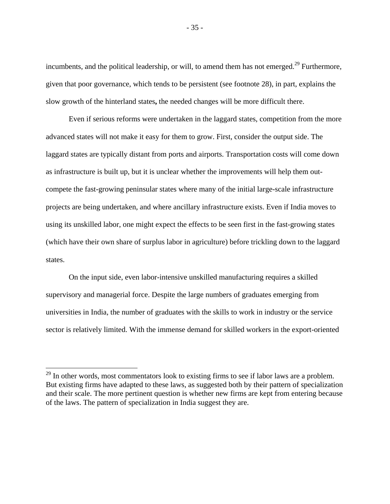incumbents, and the political leadership, or will, to amend them has not emerged.<sup>29</sup> Furthermore, given that poor governance, which tends to be persistent (see footnote 28), in part, explains the slow growth of the hinterland states**,** the needed changes will be more difficult there.

Even if serious reforms were undertaken in the laggard states, competition from the more advanced states will not make it easy for them to grow. First, consider the output side. The laggard states are typically distant from ports and airports. Transportation costs will come down as infrastructure is built up, but it is unclear whether the improvements will help them outcompete the fast-growing peninsular states where many of the initial large-scale infrastructure projects are being undertaken, and where ancillary infrastructure exists. Even if India moves to using its unskilled labor, one might expect the effects to be seen first in the fast-growing states (which have their own share of surplus labor in agriculture) before trickling down to the laggard states.

On the input side, even labor-intensive unskilled manufacturing requires a skilled supervisory and managerial force. Despite the large numbers of graduates emerging from universities in India, the number of graduates with the skills to work in industry or the service sector is relatively limited. With the immense demand for skilled workers in the export-oriented

 $\overline{a}$ 

 $^{29}$  In other words, most commentators look to existing firms to see if labor laws are a problem. But existing firms have adapted to these laws, as suggested both by their pattern of specialization and their scale. The more pertinent question is whether new firms are kept from entering because of the laws. The pattern of specialization in India suggest they are.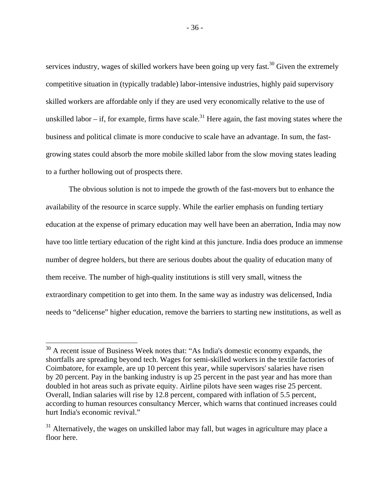services industry, wages of skilled workers have been going up very fast.<sup>30</sup> Given the extremely competitive situation in (typically tradable) labor-intensive industries, highly paid supervisory skilled workers are affordable only if they are used very economically relative to the use of unskilled labor – if, for example, firms have scale.<sup>31</sup> Here again, the fast moving states where the business and political climate is more conducive to scale have an advantage. In sum, the fastgrowing states could absorb the more mobile skilled labor from the slow moving states leading to a further hollowing out of prospects there.

The obvious solution is not to impede the growth of the fast-movers but to enhance the availability of the resource in scarce supply. While the earlier emphasis on funding tertiary education at the expense of primary education may well have been an aberration, India may now have too little tertiary education of the right kind at this juncture. India does produce an immense number of degree holders, but there are serious doubts about the quality of education many of them receive. The number of high-quality institutions is still very small, witness the extraordinary competition to get into them. In the same way as industry was delicensed, India needs to "delicense" higher education, remove the barriers to starting new institutions, as well as

<u>.</u>

 $30$  A recent issue of Business Week notes that: "As India's domestic economy expands, the shortfalls are spreading beyond tech. Wages for semi-skilled workers in the textile factories of Coimbatore, for example, are up 10 percent this year, while supervisors' salaries have risen by 20 percent. Pay in the banking industry is up 25 percent in the past year and has more than doubled in hot areas such as private equity. Airline pilots have seen wages rise 25 percent. Overall, Indian salaries will rise by 12.8 percent, compared with inflation of 5.5 percent, according to human resources consultancy Mercer, which warns that continued increases could hurt India's economic revival."

 $31$  Alternatively, the wages on unskilled labor may fall, but wages in agriculture may place a floor here.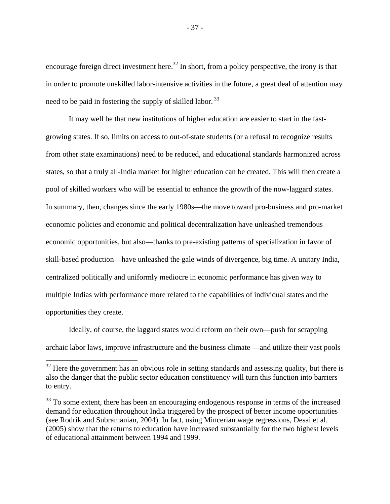encourage foreign direct investment here.<sup>32</sup> In short, from a policy perspective, the irony is that in order to promote unskilled labor-intensive activities in the future, a great deal of attention may need to be paid in fostering the supply of skilled labor.<sup>33</sup>

It may well be that new institutions of higher education are easier to start in the fastgrowing states. If so, limits on access to out-of-state students (or a refusal to recognize results from other state examinations) need to be reduced, and educational standards harmonized across states, so that a truly all-India market for higher education can be created. This will then create a pool of skilled workers who will be essential to enhance the growth of the now-laggard states. In summary, then, changes since the early 1980s—the move toward pro-business and pro-market economic policies and economic and political decentralization have unleashed tremendous economic opportunities, but also—thanks to pre-existing patterns of specialization in favor of skill-based production—have unleashed the gale winds of divergence, big time. A unitary India, centralized politically and uniformly mediocre in economic performance has given way to multiple Indias with performance more related to the capabilities of individual states and the opportunities they create.

Ideally, of course, the laggard states would reform on their own—push for scrapping archaic labor laws, improve infrastructure and the business climate —and utilize their vast pools

 $\overline{a}$ 

 $32$  Here the government has an obvious role in setting standards and assessing quality, but there is also the danger that the public sector education constituency will turn this function into barriers to entry.

 $33$  To some extent, there has been an encouraging endogenous response in terms of the increased demand for education throughout India triggered by the prospect of better income opportunities (see Rodrik and Subramanian, 2004). In fact, using Mincerian wage regressions, Desai et al. (2005) show that the returns to education have increased substantially for the two highest levels of educational attainment between 1994 and 1999.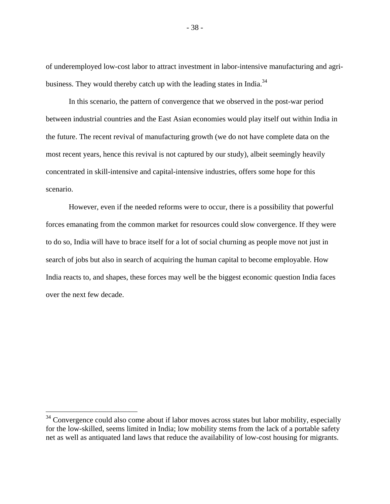of underemployed low-cost labor to attract investment in labor-intensive manufacturing and agribusiness. They would thereby catch up with the leading states in India.<sup>34</sup>

In this scenario, the pattern of convergence that we observed in the post-war period between industrial countries and the East Asian economies would play itself out within India in the future. The recent revival of manufacturing growth (we do not have complete data on the most recent years, hence this revival is not captured by our study), albeit seemingly heavily concentrated in skill-intensive and capital-intensive industries, offers some hope for this scenario.

However, even if the needed reforms were to occur, there is a possibility that powerful forces emanating from the common market for resources could slow convergence. If they were to do so, India will have to brace itself for a lot of social churning as people move not just in search of jobs but also in search of acquiring the human capital to become employable. How India reacts to, and shapes, these forces may well be the biggest economic question India faces over the next few decade.

 $\overline{a}$ 

 $34$  Convergence could also come about if labor moves across states but labor mobility, especially for the low-skilled, seems limited in India; low mobility stems from the lack of a portable safety net as well as antiquated land laws that reduce the availability of low-cost housing for migrants.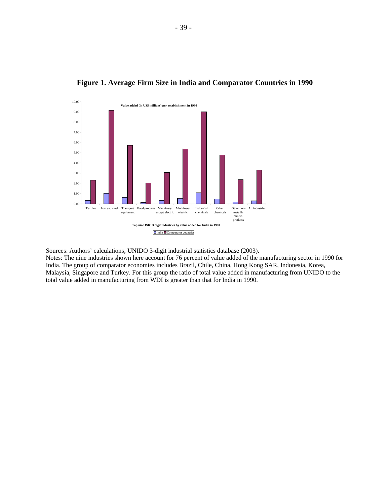

**Figure 1. Average Firm Size in India and Comparator Countries in 1990**

Sources: Authors' calculations; UNIDO 3-digit industrial statistics database (2003).

Notes: The nine industries shown here account for 76 percent of value added of the manufacturing sector in 1990 for India. The group of comparator economies includes Brazil, Chile, China, Hong Kong SAR, Indonesia, Korea, Malaysia, Singapore and Turkey. For this group the ratio of total value added in manufacturing from UNIDO to the total value added in manufacturing from WDI is greater than that for India in 1990.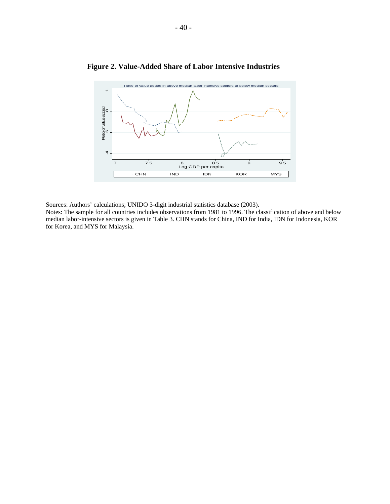

**Figure 2. Value-Added Share of Labor Intensive Industries**

Sources: Authors' calculations; UNIDO 3-digit industrial statistics database (2003).

Notes: The sample for all countries includes observations from 1981 to 1996. The classification of above and below median labor-intensive sectors is given in Table 3. CHN stands for China, IND for India, IDN for Indonesia, KOR for Korea, and MYS for Malaysia.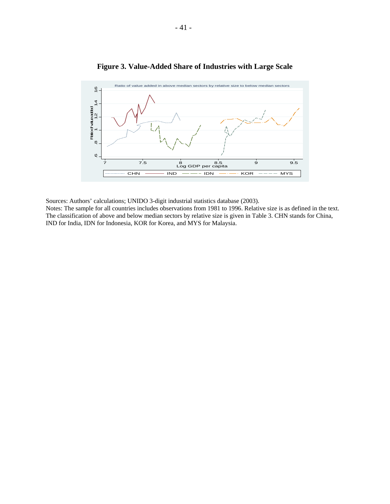

**Figure 3. Value-Added Share of Industries with Large Scale**

Sources: Authors' calculations; UNIDO 3-digit industrial statistics database (2003).

Notes: The sample for all countries includes observations from 1981 to 1996. Relative size is as defined in the text. The classification of above and below median sectors by relative size is given in Table 3. CHN stands for China, IND for India, IDN for Indonesia, KOR for Korea, and MYS for Malaysia.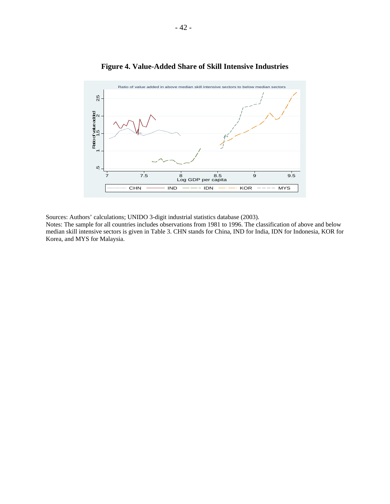

## **Figure 4. Value-Added Share of Skill Intensive Industries**

Sources: Authors' calculations; UNIDO 3-digit industrial statistics database (2003).

Notes: The sample for all countries includes observations from 1981 to 1996. The classification of above and below median skill intensive sectors is given in Table 3. CHN stands for China, IND for India, IDN for Indonesia, KOR for Korea, and MYS for Malaysia.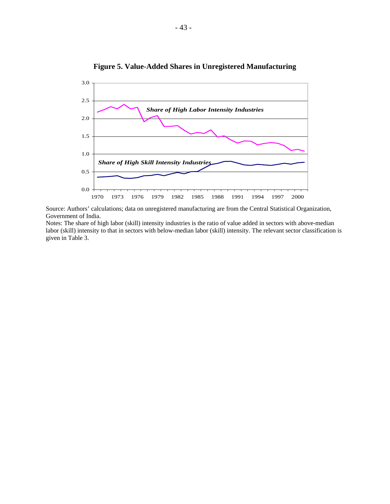

**Figure 5. Value-Added Shares in Unregistered Manufacturing** 

Source: Authors' calculations; data on unregistered manufacturing are from the Central Statistical Organization, Government of India.

Notes: The share of high labor (skill) intensity industries is the ratio of value added in sectors with above-median labor (skill) intensity to that in sectors with below-median labor (skill) intensity. The relevant sector classification is given in Table 3.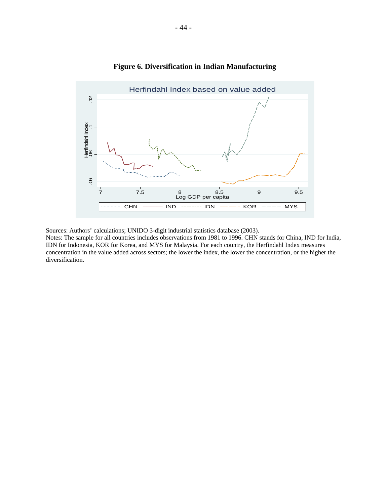

# **Figure 6. Diversification in Indian Manufacturing**

Sources: Authors' calculations; UNIDO 3-digit industrial statistics database (2003).

Notes: The sample for all countries includes observations from 1981 to 1996. CHN stands for China, IND for India, IDN for Indonesia, KOR for Korea, and MYS for Malaysia. For each country, the Herfindahl Index measures concentration in the value added across sectors; the lower the index, the lower the concentration, or the higher the diversification.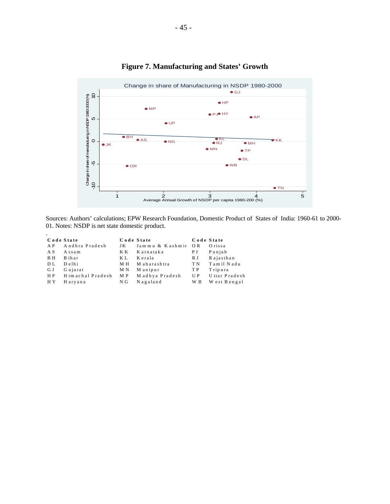

# **Figure 7. Manufacturing and States' Growth**

Sources: Authors' calculations; EPW Research Foundation, Domestic Product of States of India: 1960-61 to 2000- 01. Notes: NSDP is net state domestic product.

|     | Code State          | Code State |                       | Code State |                |
|-----|---------------------|------------|-----------------------|------------|----------------|
| A P | Andhra Pradesh      |            | JK Jammu & Kashmir OR |            | Orissa         |
| A S | Assam               | K K        | Karnataka             | PJ         | Punjab         |
| B H | Bihar               | K L        | Kerala                | R J        | Rajasthan      |
| D L | Delhi               | МН         | M aharashtra          | T N        | Tamil Nadu     |
| G J | Gujarat             | M N        | M anipur              | TР         | Tripura        |
|     | HP Himachal Pradesh |            | MP Madhya Pradesh     | U P        | U ttar Pradesh |
| H Y | H ary an a          | N G        | Nagaland              | W B        | West Bengal    |

.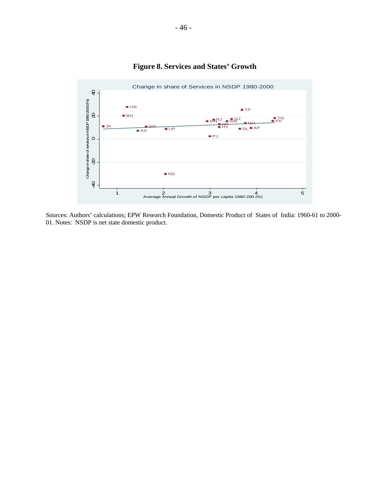

# **Figure 8. Services and States' Growth**

Sources: Authors' calculations; EPW Research Foundation, Domestic Product of States of India: 1960-61 to 2000- 01. Notes: NSDP is net state domestic product.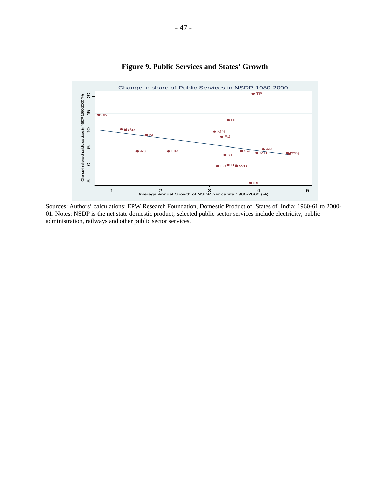

## **Figure 9. Public Services and States' Growth**

Sources: Authors' calculations; EPW Research Foundation, Domestic Product of States of India: 1960-61 to 2000- 01. Notes: NSDP is the net state domestic product; selected public sector services include electricity, public administration, railways and other public sector services.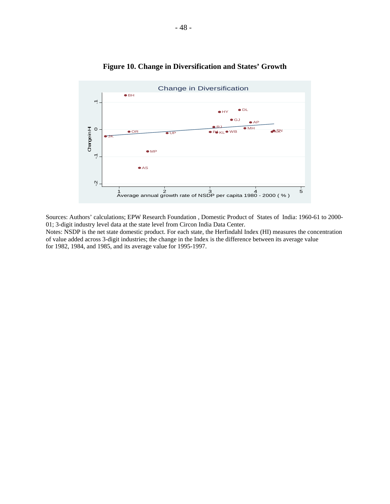

# **Figure 10. Change in Diversification and States' Growth**

Sources: Authors' calculations; EPW Research Foundation , Domestic Product of States of India: 1960-61 to 2000- 01; 3-digit industry level data at the state level from Circon India Data Center.

Notes: NSDP is the net state domestic product. For each state, the Herfindahl Index (HI) measures the concentration of value added across 3-digit industries; the change in the Index is the difference between its average value for 1982, 1984, and 1985, and its average value for 1995-1997.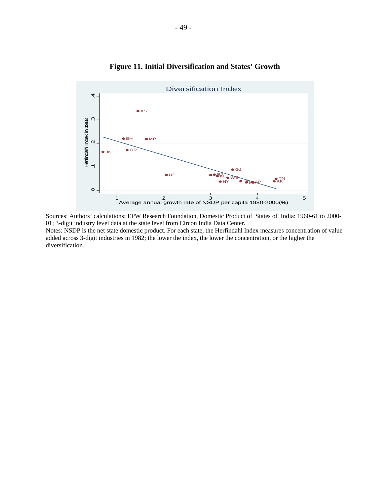

# **Figure 11. Initial Diversification and States' Growth**

Sources: Authors' calculations; EPW Research Foundation, Domestic Product of States of India: 1960-61 to 2000- 01; 3-digit industry level data at the state level from Circon India Data Center. Notes: NSDP is the net state domestic product. For each state, the Herfindahl Index measures concentration of value added across 3-digit industries in 1982; the lower the index, the lower the concentration, or the higher the diversification.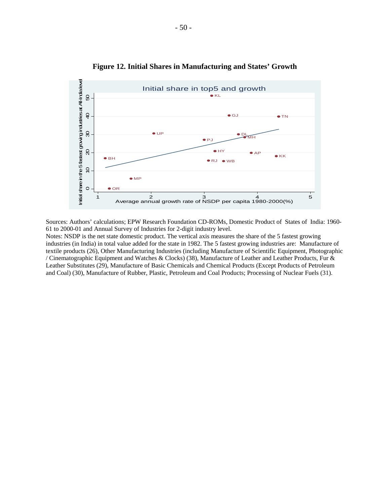

## **Figure 12. Initial Shares in Manufacturing and States' Growth**

Sources: Authors' calculations; EPW Research Foundation CD-ROMs, Domestic Product of States of India: 1960- 61 to 2000-01 and Annual Survey of Industries for 2-digit industry level.

Notes: NSDP is the net state domestic product. The vertical axis measures the share of the 5 fastest growing industries (in India) in total value added for the state in 1982. The 5 fastest growing industries are: Manufacture of textile products (26), Other Manufacturing Industries (including Manufacture of Scientific Equipment, Photographic / Cinematographic Equipment and Watches & Clocks) (38), Manufacture of Leather and Leather Products, Fur & Leather Substitutes (29), Manufacture of Basic Chemicals and Chemical Products (Except Products of Petroleum and Coal) (30), Manufacture of Rubber, Plastic, Petroleum and Coal Products; Processing of Nuclear Fuels (31).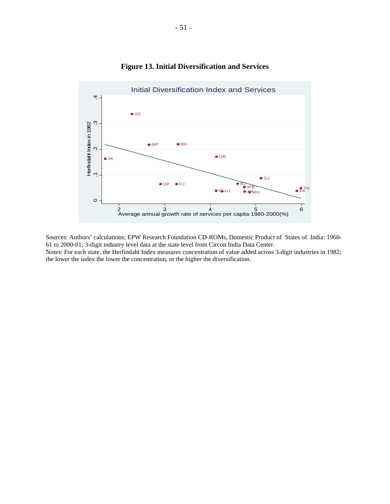

# **Figure 13. Initial Diversification and Services**

Sources: Authors' calculations; EPW Research Foundation CD-ROMs, Domestic Product of States of India: 1960- 61 to 2000-01; 3-digit industry level data at the state level from Circon India Data Center. Notes: For each state, the Herfindahl Index measures concentration of value added across 3-digit industries in 1982; the lower the index the lower the concentration, or the higher the diversification.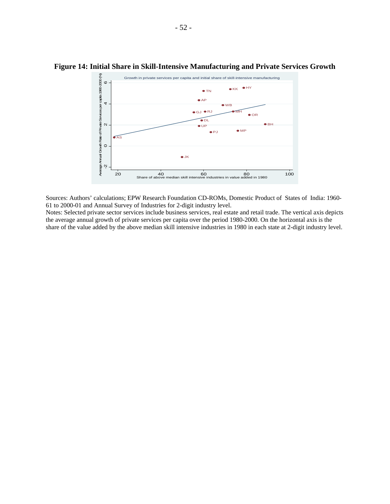

#### **Figure 14: Initial Share in Skill-Intensive Manufacturing and Private Services Growth**

Sources: Authors' calculations; EPW Research Foundation CD-ROMs, Domestic Product of States of India: 1960- 61 to 2000-01 and Annual Survey of Industries for 2-digit industry level.

Notes: Selected private sector services include business services, real estate and retail trade. The vertical axis depicts the average annual growth of private services per capita over the period 1980-2000. On the horizontal axis is the share of the value added by the above median skill intensive industries in 1980 in each state at 2-digit industry level.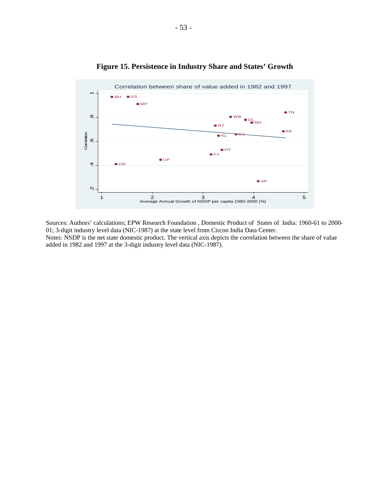

## **Figure 15. Persistence in Industry Share and States' Growth**

Sources: Authors' calculations; EPW Research Foundation , Domestic Product of States of India: 1960-61 to 2000- 01; 3-digit industry level data (NIC-1987) at the state level from Circon India Data Center. Notes: NSDP is the net state domestic product. The vertical axis depicts the correlation between the share of value added in 1982 and 1997 at the 3-digit industry level data (NIC-1987).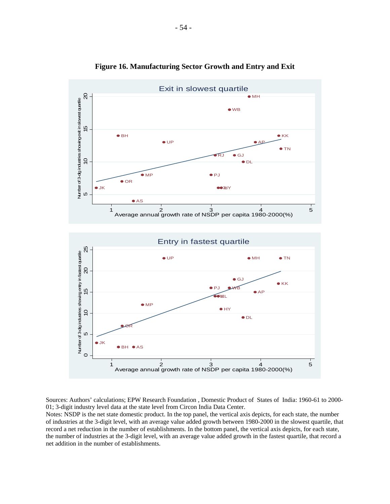

**Figure 16. Manufacturing Sector Growth and Entry and Exit** 

Sources: Authors' calculations; EPW Research Foundation , Domestic Product of States of India: 1960-61 to 2000- 01; 3-digit industry level data at the state level from Circon India Data Center.

Notes: NSDP is the net state domestic product. In the top panel, the vertical axis depicts, for each state, the number of industries at the 3-digit level, with an average value added growth between 1980-2000 in the slowest quartile, that record a net reduction in the number of establishments. In the bottom panel, the vertical axis depicts, for each state, the number of industries at the 3-digit level, with an average value added growth in the fastest quartile, that record a net addition in the number of establishments.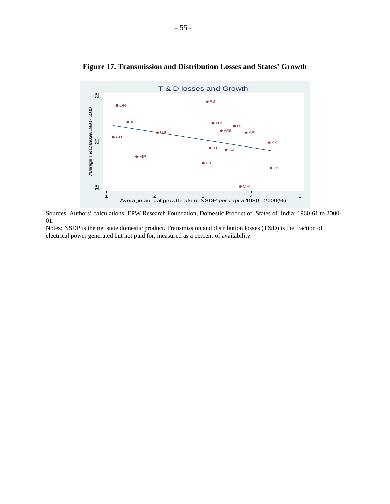

**Figure 17. Transmission and Distribution Losses and States' Growth** 

Sources: Authors' calculations; EPW Research Foundation, Domestic Product of States of India: 1960-61 to 2000- 01.

Notes: NSDP is the net state domestic product. Transmission and distribution losses (T&D) is the fraction of electrical power generated but not paid for, measured as a percent of availability.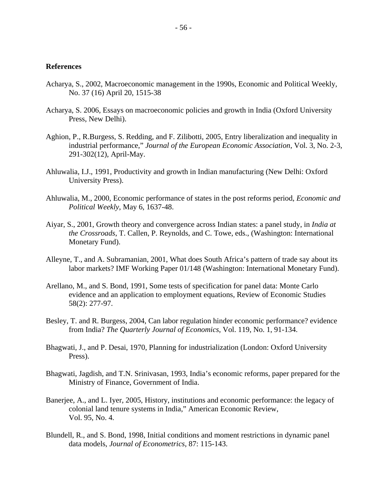## **References**

- Acharya, S., 2002, Macroeconomic management in the 1990s, Economic and Political Weekly, No. 37 (16) April 20, 1515-38
- Acharya, S. 2006, Essays on macroeconomic policies and growth in India (Oxford University Press, New Delhi).
- Aghion, P., R.Burgess, S. Redding, and F. Zilibotti, 2005, Entry liberalization and inequality in industrial performance," *Journal of the European Economic Association*, Vol. 3, No. 2-3, 291-302(12), April-May.
- Ahluwalia, I.J., 1991, Productivity and growth in Indian manufacturing (New Delhi: Oxford University Press).
- Ahluwalia, M., 2000, Economic performance of states in the post reforms period, *Economic and Political Weekly*, May 6, 1637-48.
- Aiyar, S., 2001, Growth theory and convergence across Indian states: a panel study, in *India at the Crossroads*, T. Callen, P. Reynolds, and C. Towe, eds., (Washington: International Monetary Fund).
- Alleyne, T., and A. Subramanian, 2001, What does South Africa's pattern of trade say about its labor markets? IMF Working Paper 01/148 (Washington: International Monetary Fund).
- Arellano, M., and S. Bond, 1991, Some tests of specification for panel data: Monte Carlo evidence and an application to employment equations, Review of Economic Studies 58(2): 277-97.
- Besley, T. and R. Burgess, 2004, Can labor regulation hinder economic performance? evidence from India? *The Quarterly Journal of Economics*, Vol. 119, No. 1, 91-134.
- Bhagwati, J., and P. Desai, 1970, Planning for industrialization (London: Oxford University Press).
- Bhagwati, Jagdish, and T.N. Srinivasan, 1993, India's economic reforms, paper prepared for the Ministry of Finance, Government of India.
- Banerjee, A., and L. Iyer, 2005, History, institutions and economic performance: the legacy of colonial land tenure systems in India," American Economic Review, Vol. 95, No. 4*.*
- Blundell, R., and S. Bond, 1998, Initial conditions and moment restrictions in dynamic panel data models, *Journal of Econometrics*, 87: 115-143.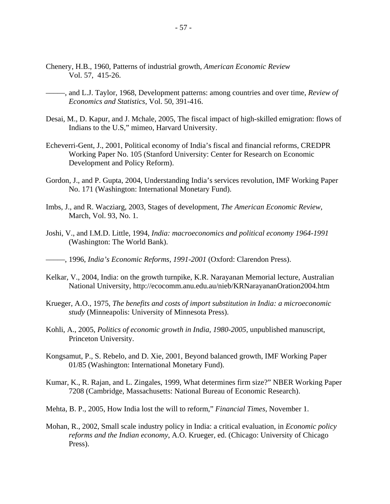- Chenery, H.B., 1960, Patterns of industrial growth, *American Economic Review*  Vol. 57, 415-26.
- –––––, and L.J. Taylor, 1968, Development patterns: among countries and over time, *Review of Economics and Statistics*, Vol. 50, 391-416.
- Desai, M., D. Kapur, and J. Mchale, 2005, The fiscal impact of high-skilled emigration: flows of Indians to the U.S," mimeo, Harvard University.
- Echeverri-Gent, J., 2001, Political economy of India's fiscal and financial reforms, CREDPR Working Paper No. 105 (Stanford University: Center for Research on Economic Development and Policy Reform).
- Gordon, J., and P. Gupta, 2004, Understanding India's services revolution, IMF Working Paper No. 171 (Washington: International Monetary Fund).
- Imbs, J., and R. Wacziarg, 2003, Stages of development, *The American Economic Review*, March, Vol. 93, No. 1.
- Joshi, V., and I.M.D. Little, 1994, *India: macroeconomics and political economy 1964-1991* (Washington: The World Bank).
- –––––, 1996, *India's Economic Reforms, 1991-2001* (Oxford: Clarendon Press).
- Kelkar, V., 2004, India: on the growth turnpike, K.R. Narayanan Memorial lecture, Australian National University, http://ecocomm.anu.edu.au/nieb/KRNarayananOration2004.htm
- Krueger, A.O., 1975, *The benefits and costs of import substitution in India: a microeconomic study* (Minneapolis: University of Minnesota Press).
- Kohli, A., 2005, *Politics of economic growth in India, 1980-2005*, unpublished manuscript, Princeton University.
- Kongsamut, P., S. Rebelo, and D. Xie, 2001, Beyond balanced growth, IMF Working Paper 01/85 (Washington: International Monetary Fund).
- Kumar, K., R. Rajan, and L. Zingales, 1999, What determines firm size?" NBER Working Paper 7208 (Cambridge, Massachusetts: National Bureau of Economic Research).
- Mehta, B. P., 2005, How India lost the will to reform," *Financial Times,* November 1.
- Mohan, R., 2002, Small scale industry policy in India: a critical evaluation, in *Economic policy reforms and the Indian economy*, A.O. Krueger, ed. (Chicago: University of Chicago Press).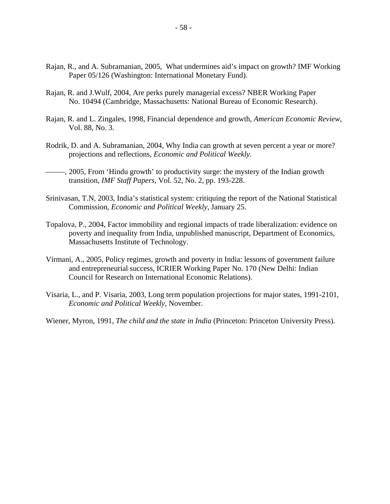- Rajan, R., and A. Subramanian, 2005, What undermines aid's impact on growth? IMF Working Paper 05/126 (Washington: International Monetary Fund).
- Rajan, R. and J.Wulf, 2004, Are perks purely managerial excess? NBER Working Paper No. 10494 (Cambridge, Massachusetts: National Bureau of Economic Research).
- Rajan, R. and L. Zingales, 1998, Financial dependence and growth, *American Economic Review*, Vol. 88, No. 3.
- Rodrik, D. and A. Subramanian, 2004, Why India can growth at seven percent a year or more? projections and reflections, *Economic and Political Weekly*.
- $-$ , 2005, From 'Hindu growth' to productivity surge: the mystery of the Indian growth transition, *IMF Staff Papers*, Vol. 52, No. 2, pp. 193-228.
- Srinivasan, T.N, 2003, India's statistical system: critiquing the report of the National Statistical Commission, *Economic and Political Weekly*, January 25.
- Topalova, P., 2004, Factor immobility and regional impacts of trade liberalization: evidence on poverty and inequality from India, unpublished manuscript, Department of Economics, Massachusetts Institute of Technology.
- Virmani, A., 2005, Policy regimes, growth and poverty in India: lessons of government failure and entrepreneurial success, ICRIER Working Paper No. 170 (New Delhi: Indian Council for Research on International Economic Relations).
- Visaria, L., and P. Visaria, 2003, Long term population projections for major states, 1991-2101, *Economic and Political Weekly*, November.
- Wiener, Myron, 1991, *The child and the state in India* (Princeton: Princeton University Press).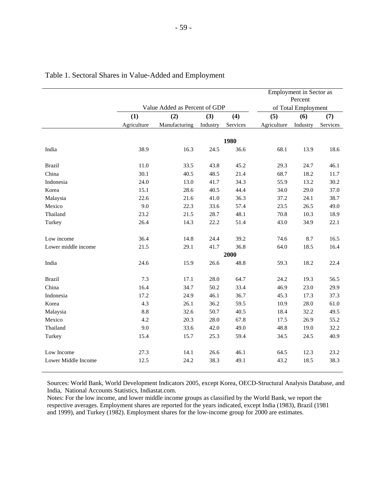|                     |             |                               |          |              |             | Employment in Sector as<br>Percent |          |
|---------------------|-------------|-------------------------------|----------|--------------|-------------|------------------------------------|----------|
|                     |             | Value Added as Percent of GDP |          |              |             | of Total Employment                |          |
|                     | (1)         | (2)                           | (3)      | (4)          | (5)         | (6)                                | (7)      |
|                     | Agriculture | Manufacturing                 | Industry | Services     | Agriculture | Industry                           | Services |
|                     |             |                               |          |              |             |                                    |          |
| India               | 38.9        | 16.3                          | 24.5     | 1980<br>36.6 | 68.1        | 13.9                               | 18.6     |
| <b>Brazil</b>       | 11.0        | 33.5                          | 43.8     | 45.2         | 29.3        | 24.7                               | 46.1     |
| China               | 30.1        | 40.5                          | 48.5     | 21.4         | 68.7        | 18.2                               | 11.7     |
| Indonesia           | 24.0        | 13.0                          | 41.7     | 34.3         | 55.9        | 13.2                               | 30.2     |
| Korea               | 15.1        | 28.6                          | 40.5     | 44.4         | 34.0        | 29.0                               | 37.0     |
| Malaysia            | 22.6        | 21.6                          | 41.0     | 36.3         | 37.2        | 24.1                               | 38.7     |
| Mexico              | 9.0         | 22.3                          | 33.6     | 57.4         | 23.5        | 26.5                               | 49.0     |
| Thailand            | 23.2        | 21.5                          | 28.7     | 48.1         | 70.8        | 10.3                               | 18.9     |
| Turkey              | 26.4        | 14.3                          | 22.2     | 51.4         | 43.0        | 34.9                               | 22.1     |
| Low income          | 36.4        | 14.8                          | 24.4     | 39.2         | 74.6        | 8.7                                | 16.5     |
| Lower middle income | 21.5        | 29.1                          | 41.7     | 36.8         | 64.0        | 18.5                               | 16.4     |
|                     |             |                               |          | 2000         |             |                                    |          |
| India               | 24.6        | 15.9                          | 26.6     | 48.8         | 59.3        | 18.2                               | 22.4     |
| <b>Brazil</b>       | 7.3         | 17.1                          | 28.0     | 64.7         | 24.2        | 19.3                               | 56.5     |
| China               | 16.4        | 34.7                          | 50.2     | 33.4         | 46.9        | 23.0                               | 29.9     |
| Indonesia           | 17.2        | 24.9                          | 46.1     | 36.7         | 45.3        | 17.3                               | 37.3     |
| Korea               | 4.3         | 26.1                          | 36.2     | 59.5         | 10.9        | 28.0                               | 61.0     |
| Malaysia            | 8.8         | 32.6                          | 50.7     | 40.5         | 18.4        | 32.2                               | 49.5     |
| Mexico              | 4.2         | 20.3                          | 28.0     | 67.8         | 17.5        | 26.9                               | 55.2     |
| Thailand            | 9.0         | 33.6                          | 42.0     | 49.0         | 48.8        | 19.0                               | 32.2     |
| Turkey              | 15.4        | 15.7                          | 25.3     | 59.4         | 34.5        | 24.5                               | 40.9     |
| Low Income          | 27.3        | 14.1                          | 26.6     | 46.1         | 64.5        | 12.3                               | 23.2     |
| Lower Middle Income | 12.5        | 24.2                          | 38.3     | 49.1         | 43.2        | 18.5                               | 38.3     |

## Table 1. Sectoral Shares in Value-Added and Employment

Sources: World Bank, World Development Indicators 2005, except Korea, OECD-Structural Analysis Database, and India, National Accounts Statistics, Indiastat.com.

Notes: For the low income, and lower middle income groups as classified by the World Bank, we report the respective averages. Employment shares are reported for the years indicated, except India (1983), Brazil (1981 and 1999), and Turkey (1982). Employment shares for the low-income group for 2000 are estimates.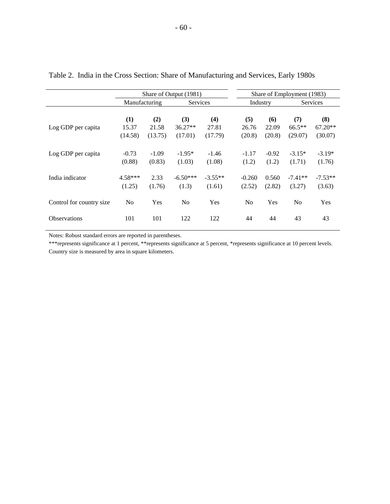|                          |                         |                         | Share of Output (1981)      |                         |                        |                        | Share of Employment (1983) |                             |
|--------------------------|-------------------------|-------------------------|-----------------------------|-------------------------|------------------------|------------------------|----------------------------|-----------------------------|
|                          | Manufacturing           |                         | <b>Services</b>             |                         | Industry               |                        |                            | <b>Services</b>             |
| Log GDP per capita       | (1)<br>15.37<br>(14.58) | (2)<br>21.58<br>(13.75) | (3)<br>$36.27**$<br>(17.01) | (4)<br>27.81<br>(17.79) | (5)<br>26.76<br>(20.8) | (6)<br>22.09<br>(20.8) | (7)<br>$66.5**$<br>(29.07) | (8)<br>$67.20**$<br>(30.07) |
| Log GDP per capita       | $-0.73$<br>(0.88)       | $-1.09$<br>(0.83)       | $-1.95*$<br>(1.03)          | $-1.46$<br>(1.08)       | $-1.17$<br>(1.2)       | $-0.92$<br>(1.2)       | $-3.15*$<br>(1.71)         | $-3.19*$<br>(1.76)          |
| India indicator          | $4.58***$<br>(1.25)     | 2.33<br>(1.76)          | $-6.50***$<br>(1.3)         | $-3.55**$<br>(1.61)     | $-0.260$<br>(2.52)     | 0.560<br>(2.82)        | $-7.41**$<br>(3.27)        | $-7.53**$<br>(3.63)         |
| Control for country size | N <sub>0</sub>          | Yes                     | N <sub>o</sub>              | <b>Yes</b>              | N <sub>0</sub>         | Yes                    | N <sub>0</sub>             | Yes                         |
| <b>Observations</b>      | 101                     | 101                     | 122                         | 122                     | 44                     | 44                     | 43                         | 43                          |

Table 2. India in the Cross Section: Share of Manufacturing and Services, Early 1980s

Notes: Robust standard errors are reported in parentheses.

\*\*\*represents significance at 1 percent, \*\*represents significance at 5 percent, \*represents significance at 10 percent levels. Country size is measured by area in square kilometers.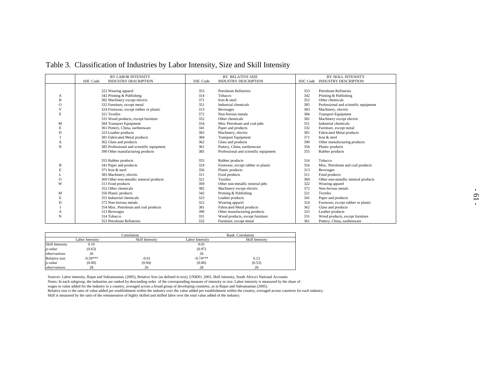|          | Table 3. Classification of Industries by Labor Intensity, Size and Skill Intensity |                  |                                                   |            |                                       |  |
|----------|------------------------------------------------------------------------------------|------------------|---------------------------------------------------|------------|---------------------------------------|--|
|          |                                                                                    |                  |                                                   |            |                                       |  |
|          | <b>BY LABOR INTENSITY</b>                                                          |                  | <b>BY RELATIVE SIZE</b>                           |            | <b>BY SKILL INTENSITY</b>             |  |
|          | <b>INDUSTRY DESCRIPTION</b><br><b>ISIC Code</b>                                    | <b>ISIC Code</b> | <b>INDUSTRY DESCRIPTION</b>                       |            | ISIC Code INDUSTRY DESCRIPTION        |  |
|          |                                                                                    |                  |                                                   |            |                                       |  |
|          | 322 Wearing apparel                                                                | 353              | <b>Petroleum Refineries</b>                       | 353        | <b>Petroleum Refineries</b>           |  |
| A        | 342 Printing & Publishing                                                          | 314              | Tobacco                                           | 342        | Printing & Publishing                 |  |
| B        | 382 Machinery except electric                                                      | 371              | Iron & steel                                      | 352        | Other chemicals                       |  |
| $\Omega$ | 332 Furniture, except metal                                                        | 351              | Industrial chemicals                              | 385        | Professional and scientific equipment |  |
| V        | 324 Footwear, except rubber or plastic                                             | 313              | <b>Beverages</b>                                  | 383        | Machinery, electric                   |  |
| E        | 321 Textiles                                                                       | 372              | Non-ferrous metals                                | 384        | <b>Transport Equipment</b>            |  |
|          | 331 Wood products, except furniture                                                | 352              | Other chemicals                                   | 382        | Machinery except electric             |  |
| M        | 384 Transport Equipment                                                            | 354              | Misc Petroleum and coal pdts                      | 351        | Industrial chemicals                  |  |
| E        | 361 Pottery, China, earthenware                                                    | 341              | Paper and products                                | 332        | Furniture, except metal               |  |
| D        | 323 Leather products                                                               | 383              | Machinery, electric                               | 381        | Fabricated Metal products             |  |
|          | 381 Fabricated Metal products                                                      | 384<br>362       | <b>Transport Equipment</b>                        | 371<br>390 | Iron & steel                          |  |
| A<br>N   | 362 Glass and products                                                             | 361              | Glass and products<br>Pottery, China, earthenware | 356        | Other manufacturing products          |  |
|          | 385 Professional and scientific equipment<br>390 Other manufacturing products      | 385              | Professional and scientific equipment             | 355        | Plastic products<br>Rubber products   |  |
|          |                                                                                    |                  |                                                   |            |                                       |  |
|          | 355 Rubber products                                                                | 355              | Rubber products                                   | 314        | Tobacco                               |  |
| B        | 341 Paper and products                                                             | 324              | Footwear, except rubber or plastic                | 354        | Misc. Petroleum and coal products     |  |
| E        | 371 Iron & steel                                                                   | 356              | Plastic products                                  | 313        | <b>Beverages</b>                      |  |
| L        | 383 Machinery, electric                                                            | 311              | Food products                                     | 311        | Food products                         |  |
| $\Omega$ | 369 Other non-metallic mineral products                                            | 321              | <b>Textiles</b>                                   | 369        | Other non-metallic mineral products   |  |
| W        | 311 Food products                                                                  | 369              | Other non-metallic mineral pdts                   | 322        | Wearing apparel                       |  |
|          | 352 Other chemicals                                                                | 382              | Machinery except electric                         | 372        | Non-ferrous metals                    |  |
| M        | 356 Plastic products                                                               | 342              | Printing & Publishing                             | 321        | <b>Textiles</b>                       |  |
| Е        | 351 Industrial chemicals                                                           | 323              | Leather products                                  | 341        | Paper and products                    |  |
| D        | 372 Non-ferrous metals                                                             | 322              | Wearing apparel                                   | 324        | Footwear, except rubber or plastic    |  |
|          | 354 Misc. Petroleum and coal products                                              | 381              | Fabricated Metal products                         | 362        | Glass and products                    |  |
| A        | 313 Beverages                                                                      | 390              | Other manufacturing products                      | 323        | Leather products                      |  |
| N        | 314 Tobacco                                                                        | 331              | Wood products, except furniture                   | 331        | Wood products, except furniture       |  |
|          | 353 Petroleum Refineries                                                           | 332              | Furniture, except metal                           | 361        | Pottery, China, earthenware           |  |

|                 |                 | Correlation     |                 | Rank Correlation |  |  |  |
|-----------------|-----------------|-----------------|-----------------|------------------|--|--|--|
|                 | Labor Intensity | Skill Intensity | Labor Intensity | Skill Intensity  |  |  |  |
| Skill Intensity | 0.10            |                 | 0.01            |                  |  |  |  |
| p-value         | (0.63)          |                 | (0.97)          |                  |  |  |  |
| observations    | 26              |                 | 26              |                  |  |  |  |
| Relative size   | $-0.59***$      | $-0.01$         | $-0.74***$      | 0.13             |  |  |  |
| p-value         | (0.00)          | (0.94)          | (0.00)          | (0.53)           |  |  |  |
| observations    | 28              | 26              | 28              | 26               |  |  |  |

Sources: Labor intensity, Rajan and Subramanian, (2005), Relative Size (as defined in text), UNIDO, 2003, Skill intensity, South Africa's National Accounts.<br>Notes: In each subgroup, the industries are ranked by descending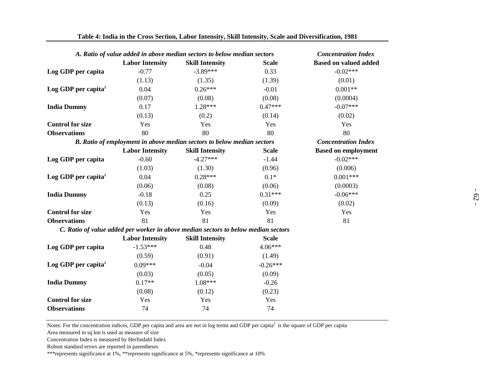|                         |                        | A. Ratio of value added in above median sectors to below median sectors            |              | <b>Concentration Index</b>   |  |
|-------------------------|------------------------|------------------------------------------------------------------------------------|--------------|------------------------------|--|
|                         | <b>Labor Intensity</b> | <b>Skill Intensity</b>                                                             | <b>Scale</b> | <b>Based on valued added</b> |  |
| Log GDP per capita      | $-0.77$                | $-3.89***$                                                                         | 0.33         | $-0.02***$                   |  |
|                         | (1.13)                 | (1.35)                                                                             | (1.39)       | (0.01)                       |  |
| Log GDP per capita $^2$ | 0.04                   | $0.26***$                                                                          | $-0.01$      | $0.001**$                    |  |
|                         | (0.07)                 | (0.08)                                                                             | (0.08)       | (0.0004)                     |  |
| <b>India Dummy</b>      | 0.17                   | $1.28***$                                                                          | $0.47***$    | $-0.07***$                   |  |
|                         | (0.13)                 | (0.2)                                                                              | (0.14)       | (0.02)                       |  |
| <b>Control for size</b> | Yes                    | Yes                                                                                | Yes          | Yes                          |  |
| <b>Observations</b>     | 80                     | 80                                                                                 | 80           | 80                           |  |
|                         |                        | B. Ratio of employment in above median sectors to below median sectors             |              | <b>Concentration Index</b>   |  |
|                         | <b>Labor Intensity</b> | <b>Skill Intensity</b>                                                             | <b>Scale</b> | <b>Based on employment</b>   |  |
| Log GDP per capita      | $-0.60$                | $-4.27***$                                                                         | $-1.44$      | $-0.02***$                   |  |
|                         | (1.03)                 | (1.30)                                                                             | (0.96)       | (0.006)                      |  |
| Log GDP per capita $^2$ | 0.04                   | $0.28***$                                                                          | $0.1*$       | $0.001***$                   |  |
|                         | (0.06)                 | (0.08)                                                                             | (0.06)       | (0.0003)                     |  |
| <b>India Dummy</b>      | $-0.18$                | 0.25                                                                               | $0.31***$    | $-0.06***$                   |  |
|                         | (0.13)                 | (0.16)                                                                             | (0.09)       | (0.02)                       |  |
| <b>Control for size</b> | Yes                    | Yes                                                                                | Yes          | Yes                          |  |
| <b>Observations</b>     | 81                     | 81                                                                                 | 81           | 81                           |  |
|                         |                        | C. Ratio of value added per worker in above median sectors to below median sectors |              |                              |  |
|                         | <b>Labor Intensity</b> | <b>Skill Intensity</b>                                                             | <b>Scale</b> |                              |  |
| Log GDP per capita      | $-1.53***$             | 0.48                                                                               | $4.06***$    |                              |  |
|                         | (0.59)                 | (0.91)                                                                             | (1.49)       |                              |  |
| Log GDP per capita $^2$ | $0.09***$              | $-0.04$                                                                            | $-0.26***$   |                              |  |
|                         | (0.03)                 | (0.05)                                                                             | (0.09)       |                              |  |
| <b>India Dummy</b>      | $0.17**$               | $1.08***$                                                                          | $-0.26$      |                              |  |
|                         | (0.08)                 | (0.12)                                                                             | (0.23)       |                              |  |
| <b>Control for size</b> | Yes                    | Yes                                                                                | Yes          |                              |  |
| <b>Observations</b>     | 74                     | 74                                                                                 | 74           |                              |  |

Notes: For the concentration indices, GDP per capita and area are not in log terms and GDP per capita<sup>2</sup> is the square of GDP per capita

Area measured in sq km is used as measure of size

Concentration Index is measured by Herfindahl Index

Robust standard errors are reported in parentheses

\*\*\*represents significance at 1%, \*\*represents significance at 5%, \*represents significance at 10%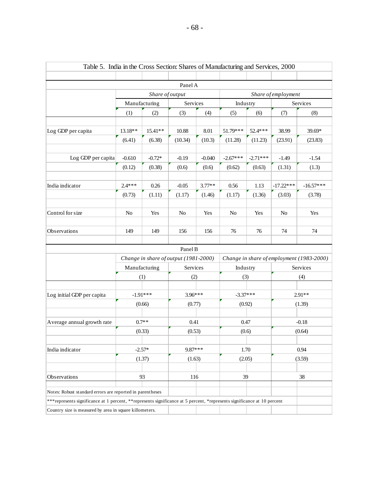| Panel A<br>Share of output<br>Share of employment<br>Manufacturing<br>Services<br>Industry<br>Services<br>(4)<br>(8)<br>(1)<br>(3)<br>(5)<br>(6)<br>(2)<br>(7)<br>15.41**<br>51.79***<br>39.69*<br>Log GDP per capita<br>13.18**<br>10.88<br>8.01<br>52.4***<br>38.99<br>(6.41)<br>(6.38)<br>(10.34)<br>(10.3)<br>(11.28)<br>(11.23)<br>(23.91)<br>(23.83)<br>Log GDP per capita<br>$-2.71***$<br>$-0.610$<br>$-0.72*$<br>$-0.040$<br>$-2.67***$<br>$-0.19$<br>$-1.49$<br>$-1.54$<br>(0.12)<br>(0.38)<br>(0.6)<br>(0.6)<br>(0.62)<br>(0.63)<br>(1.31)<br>(1.3)<br>$2.4***$<br>$-0.05$<br>$3.77**$<br>$-17.22***$<br>$-16.57***$<br>India indicator<br>0.26<br>0.56<br>1.13<br>(3.03)<br>(0.73)<br>(1.11)<br>(1.17)<br>(1.46)<br>(1.17)<br>(1.36)<br>(3.78)<br>Control for size<br>N <sub>o</sub><br>Yes<br>No<br>Yes<br>N <sub>o</sub><br>Yes<br>No<br>Yes<br>Observations<br>149<br>149<br>156<br>156<br>76<br>76<br>74<br>74<br>Panel B<br>Change in share of output (1981-2000)<br>Change in share of employment (1983-2000)<br>Services<br>Services<br>Manufacturing<br>Industry<br>(1)<br>(2)<br>(3)<br>(4)<br>$-1.91***$<br>3.96***<br>$-3.37***$<br>$2.91**$<br>Log initial GDP per capita<br>(0.92)<br>(0.66)<br>(0.77)<br>(1.39)<br>$0.7**$<br>Average annual growth rate<br>0.41<br>0.47<br>$-0.18$<br>(0.33)<br>(0.53)<br>(0.6)<br>(0.64)<br>9.87***<br>0.94<br>India indicator<br>$-2.57*$<br>1.70<br>(1.37)<br>(1.63)<br>(2.05)<br>(3.59)<br>Observations<br>93<br>39<br>38<br>116<br>Notes: Robust standard errors are reported in parentheses<br>*** represents significance at 1 percent, ** represents significance at 5 percent, *represents significance at 10 percent<br>Country size is measured by area in square killometers. | Table 5. India in the Cross Section: Shares of Manufacturing and Services, 2000 |  |  |  |  |  |  |  |  |
|------------------------------------------------------------------------------------------------------------------------------------------------------------------------------------------------------------------------------------------------------------------------------------------------------------------------------------------------------------------------------------------------------------------------------------------------------------------------------------------------------------------------------------------------------------------------------------------------------------------------------------------------------------------------------------------------------------------------------------------------------------------------------------------------------------------------------------------------------------------------------------------------------------------------------------------------------------------------------------------------------------------------------------------------------------------------------------------------------------------------------------------------------------------------------------------------------------------------------------------------------------------------------------------------------------------------------------------------------------------------------------------------------------------------------------------------------------------------------------------------------------------------------------------------------------------------------------------------------------------------------------------------------------------------------------------------------------------------------------------------------|---------------------------------------------------------------------------------|--|--|--|--|--|--|--|--|
|                                                                                                                                                                                                                                                                                                                                                                                                                                                                                                                                                                                                                                                                                                                                                                                                                                                                                                                                                                                                                                                                                                                                                                                                                                                                                                                                                                                                                                                                                                                                                                                                                                                                                                                                                      |                                                                                 |  |  |  |  |  |  |  |  |
|                                                                                                                                                                                                                                                                                                                                                                                                                                                                                                                                                                                                                                                                                                                                                                                                                                                                                                                                                                                                                                                                                                                                                                                                                                                                                                                                                                                                                                                                                                                                                                                                                                                                                                                                                      |                                                                                 |  |  |  |  |  |  |  |  |
|                                                                                                                                                                                                                                                                                                                                                                                                                                                                                                                                                                                                                                                                                                                                                                                                                                                                                                                                                                                                                                                                                                                                                                                                                                                                                                                                                                                                                                                                                                                                                                                                                                                                                                                                                      |                                                                                 |  |  |  |  |  |  |  |  |
|                                                                                                                                                                                                                                                                                                                                                                                                                                                                                                                                                                                                                                                                                                                                                                                                                                                                                                                                                                                                                                                                                                                                                                                                                                                                                                                                                                                                                                                                                                                                                                                                                                                                                                                                                      |                                                                                 |  |  |  |  |  |  |  |  |
|                                                                                                                                                                                                                                                                                                                                                                                                                                                                                                                                                                                                                                                                                                                                                                                                                                                                                                                                                                                                                                                                                                                                                                                                                                                                                                                                                                                                                                                                                                                                                                                                                                                                                                                                                      |                                                                                 |  |  |  |  |  |  |  |  |
|                                                                                                                                                                                                                                                                                                                                                                                                                                                                                                                                                                                                                                                                                                                                                                                                                                                                                                                                                                                                                                                                                                                                                                                                                                                                                                                                                                                                                                                                                                                                                                                                                                                                                                                                                      |                                                                                 |  |  |  |  |  |  |  |  |
|                                                                                                                                                                                                                                                                                                                                                                                                                                                                                                                                                                                                                                                                                                                                                                                                                                                                                                                                                                                                                                                                                                                                                                                                                                                                                                                                                                                                                                                                                                                                                                                                                                                                                                                                                      |                                                                                 |  |  |  |  |  |  |  |  |
|                                                                                                                                                                                                                                                                                                                                                                                                                                                                                                                                                                                                                                                                                                                                                                                                                                                                                                                                                                                                                                                                                                                                                                                                                                                                                                                                                                                                                                                                                                                                                                                                                                                                                                                                                      |                                                                                 |  |  |  |  |  |  |  |  |
|                                                                                                                                                                                                                                                                                                                                                                                                                                                                                                                                                                                                                                                                                                                                                                                                                                                                                                                                                                                                                                                                                                                                                                                                                                                                                                                                                                                                                                                                                                                                                                                                                                                                                                                                                      |                                                                                 |  |  |  |  |  |  |  |  |
|                                                                                                                                                                                                                                                                                                                                                                                                                                                                                                                                                                                                                                                                                                                                                                                                                                                                                                                                                                                                                                                                                                                                                                                                                                                                                                                                                                                                                                                                                                                                                                                                                                                                                                                                                      |                                                                                 |  |  |  |  |  |  |  |  |
|                                                                                                                                                                                                                                                                                                                                                                                                                                                                                                                                                                                                                                                                                                                                                                                                                                                                                                                                                                                                                                                                                                                                                                                                                                                                                                                                                                                                                                                                                                                                                                                                                                                                                                                                                      |                                                                                 |  |  |  |  |  |  |  |  |
|                                                                                                                                                                                                                                                                                                                                                                                                                                                                                                                                                                                                                                                                                                                                                                                                                                                                                                                                                                                                                                                                                                                                                                                                                                                                                                                                                                                                                                                                                                                                                                                                                                                                                                                                                      |                                                                                 |  |  |  |  |  |  |  |  |
|                                                                                                                                                                                                                                                                                                                                                                                                                                                                                                                                                                                                                                                                                                                                                                                                                                                                                                                                                                                                                                                                                                                                                                                                                                                                                                                                                                                                                                                                                                                                                                                                                                                                                                                                                      |                                                                                 |  |  |  |  |  |  |  |  |
|                                                                                                                                                                                                                                                                                                                                                                                                                                                                                                                                                                                                                                                                                                                                                                                                                                                                                                                                                                                                                                                                                                                                                                                                                                                                                                                                                                                                                                                                                                                                                                                                                                                                                                                                                      |                                                                                 |  |  |  |  |  |  |  |  |
|                                                                                                                                                                                                                                                                                                                                                                                                                                                                                                                                                                                                                                                                                                                                                                                                                                                                                                                                                                                                                                                                                                                                                                                                                                                                                                                                                                                                                                                                                                                                                                                                                                                                                                                                                      |                                                                                 |  |  |  |  |  |  |  |  |
|                                                                                                                                                                                                                                                                                                                                                                                                                                                                                                                                                                                                                                                                                                                                                                                                                                                                                                                                                                                                                                                                                                                                                                                                                                                                                                                                                                                                                                                                                                                                                                                                                                                                                                                                                      |                                                                                 |  |  |  |  |  |  |  |  |
|                                                                                                                                                                                                                                                                                                                                                                                                                                                                                                                                                                                                                                                                                                                                                                                                                                                                                                                                                                                                                                                                                                                                                                                                                                                                                                                                                                                                                                                                                                                                                                                                                                                                                                                                                      |                                                                                 |  |  |  |  |  |  |  |  |
|                                                                                                                                                                                                                                                                                                                                                                                                                                                                                                                                                                                                                                                                                                                                                                                                                                                                                                                                                                                                                                                                                                                                                                                                                                                                                                                                                                                                                                                                                                                                                                                                                                                                                                                                                      |                                                                                 |  |  |  |  |  |  |  |  |
|                                                                                                                                                                                                                                                                                                                                                                                                                                                                                                                                                                                                                                                                                                                                                                                                                                                                                                                                                                                                                                                                                                                                                                                                                                                                                                                                                                                                                                                                                                                                                                                                                                                                                                                                                      |                                                                                 |  |  |  |  |  |  |  |  |
|                                                                                                                                                                                                                                                                                                                                                                                                                                                                                                                                                                                                                                                                                                                                                                                                                                                                                                                                                                                                                                                                                                                                                                                                                                                                                                                                                                                                                                                                                                                                                                                                                                                                                                                                                      |                                                                                 |  |  |  |  |  |  |  |  |
|                                                                                                                                                                                                                                                                                                                                                                                                                                                                                                                                                                                                                                                                                                                                                                                                                                                                                                                                                                                                                                                                                                                                                                                                                                                                                                                                                                                                                                                                                                                                                                                                                                                                                                                                                      |                                                                                 |  |  |  |  |  |  |  |  |
|                                                                                                                                                                                                                                                                                                                                                                                                                                                                                                                                                                                                                                                                                                                                                                                                                                                                                                                                                                                                                                                                                                                                                                                                                                                                                                                                                                                                                                                                                                                                                                                                                                                                                                                                                      |                                                                                 |  |  |  |  |  |  |  |  |
|                                                                                                                                                                                                                                                                                                                                                                                                                                                                                                                                                                                                                                                                                                                                                                                                                                                                                                                                                                                                                                                                                                                                                                                                                                                                                                                                                                                                                                                                                                                                                                                                                                                                                                                                                      |                                                                                 |  |  |  |  |  |  |  |  |
|                                                                                                                                                                                                                                                                                                                                                                                                                                                                                                                                                                                                                                                                                                                                                                                                                                                                                                                                                                                                                                                                                                                                                                                                                                                                                                                                                                                                                                                                                                                                                                                                                                                                                                                                                      |                                                                                 |  |  |  |  |  |  |  |  |
|                                                                                                                                                                                                                                                                                                                                                                                                                                                                                                                                                                                                                                                                                                                                                                                                                                                                                                                                                                                                                                                                                                                                                                                                                                                                                                                                                                                                                                                                                                                                                                                                                                                                                                                                                      |                                                                                 |  |  |  |  |  |  |  |  |
|                                                                                                                                                                                                                                                                                                                                                                                                                                                                                                                                                                                                                                                                                                                                                                                                                                                                                                                                                                                                                                                                                                                                                                                                                                                                                                                                                                                                                                                                                                                                                                                                                                                                                                                                                      |                                                                                 |  |  |  |  |  |  |  |  |
|                                                                                                                                                                                                                                                                                                                                                                                                                                                                                                                                                                                                                                                                                                                                                                                                                                                                                                                                                                                                                                                                                                                                                                                                                                                                                                                                                                                                                                                                                                                                                                                                                                                                                                                                                      |                                                                                 |  |  |  |  |  |  |  |  |
|                                                                                                                                                                                                                                                                                                                                                                                                                                                                                                                                                                                                                                                                                                                                                                                                                                                                                                                                                                                                                                                                                                                                                                                                                                                                                                                                                                                                                                                                                                                                                                                                                                                                                                                                                      |                                                                                 |  |  |  |  |  |  |  |  |
|                                                                                                                                                                                                                                                                                                                                                                                                                                                                                                                                                                                                                                                                                                                                                                                                                                                                                                                                                                                                                                                                                                                                                                                                                                                                                                                                                                                                                                                                                                                                                                                                                                                                                                                                                      |                                                                                 |  |  |  |  |  |  |  |  |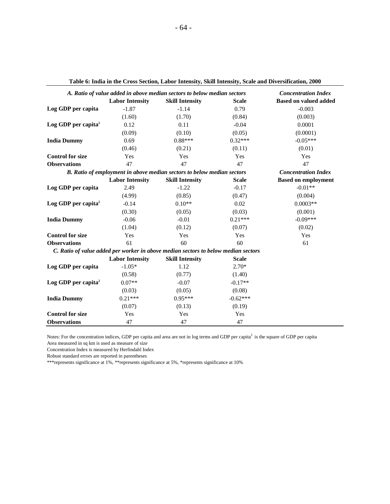|                         |                        | A. Ratio of value added in above median sectors to below median sectors            |              | <b>Concentration Index</b>   |
|-------------------------|------------------------|------------------------------------------------------------------------------------|--------------|------------------------------|
|                         | <b>Labor Intensity</b> | <b>Skill Intensity</b>                                                             | <b>Scale</b> | <b>Based on valued added</b> |
| Log GDP per capita      | $-1.87$                | $-1.14$                                                                            | 0.79         | $-0.003$                     |
|                         | (1.60)                 | (1.70)                                                                             | (0.84)       | (0.003)                      |
| Log GDP per capita $^2$ | 0.12                   | 0.11                                                                               | $-0.04$      | 0.0001                       |
|                         | (0.09)                 | (0.10)                                                                             | (0.05)       | (0.0001)                     |
| <b>India Dummy</b>      | 0.69                   | $0.88***$                                                                          | $0.32***$    | $-0.05***$                   |
|                         | (0.46)                 | (0.21)                                                                             | (0.11)       | (0.01)                       |
| <b>Control for size</b> | Yes                    | Yes                                                                                | Yes          | Yes                          |
| <b>Observations</b>     | 47                     | 47                                                                                 | 47           | 47                           |
|                         |                        | B. Ratio of employment in above median sectors to below median sectors             |              | <b>Concentration Index</b>   |
|                         | <b>Labor Intensity</b> | <b>Skill Intensity</b>                                                             | <b>Scale</b> | <b>Based on employment</b>   |
| Log GDP per capita      | 2.49                   | $-1.22$                                                                            | $-0.17$      | $-0.01**$                    |
|                         | (4.99)                 | (0.85)                                                                             | (0.47)       | (0.004)                      |
| Log GDP per capita $^2$ | $-0.14$                | $0.10**$                                                                           | 0.02         | $0.0003**$                   |
|                         | (0.30)                 | (0.05)                                                                             | (0.03)       | (0.001)                      |
| <b>India Dummy</b>      | $-0.06$                | $-0.01$                                                                            | $0.21***$    | $-0.09***$                   |
|                         | (1.04)                 | (0.12)                                                                             | (0.07)       | (0.02)                       |
| <b>Control for size</b> | Yes                    | Yes                                                                                | Yes          | Yes                          |
| <b>Observations</b>     | 61                     | 60                                                                                 | 60           | 61                           |
|                         |                        | C. Ratio of value added per worker in above median sectors to below median sectors |              |                              |
|                         | <b>Labor Intensity</b> | <b>Skill Intensity</b>                                                             | <b>Scale</b> |                              |
| Log GDP per capita      | $-1.05*$               | 1.12                                                                               | $2.70*$      |                              |
|                         | (0.58)                 | (0.77)                                                                             | (1.40)       |                              |
| Log GDP per capita $^2$ | $0.07**$               | $-0.07$                                                                            | $-0.17**$    |                              |
|                         | (0.03)                 | (0.05)                                                                             | (0.08)       |                              |
| <b>India Dummy</b>      | $0.21***$              | $0.95***$                                                                          | $-0.62***$   |                              |
|                         | (0.07)                 | (0.13)                                                                             | (0.19)       |                              |
| <b>Control for size</b> | Yes                    | Yes                                                                                | Yes          |                              |
| <b>Observations</b>     | 47                     | 47                                                                                 | 47           |                              |

| Table 6: India in the Cross Section, Labor Intensity, Skill Intensity, Scale and Diversification, 2000 |  |  |  |  |
|--------------------------------------------------------------------------------------------------------|--|--|--|--|
|                                                                                                        |  |  |  |  |

Notes: For the concentration indices, GDP per capita and area are not in log terms and GDP per capita<sup>2</sup> is the square of GDP per capita Area measured in sq km is used as measure of size

Concentration Index is measured by Herfindahl Index

Robust standard errors are reported in parentheses

\*\*\*represents significance at 1%, \*\*represents significance at 5%, \*represents significance at 10%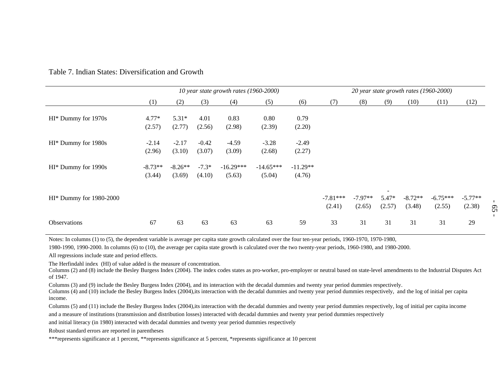| Table 7. Indian States: Diversification and Growth |           |           |         |                                        |             |            |                                        |           |        |           |            |           |
|----------------------------------------------------|-----------|-----------|---------|----------------------------------------|-------------|------------|----------------------------------------|-----------|--------|-----------|------------|-----------|
|                                                    |           |           |         | 10 year state growth rates (1960-2000) |             |            | 20 year state growth rates (1960-2000) |           |        |           |            |           |
|                                                    | (1)       | (2)       | (3)     | (4)                                    | (5)         | (6)        | (7)                                    | (8)       | (9)    | (10)      | (11)       | (12)      |
| HI* Dummy for 1970s                                | $4.77*$   | $5.31*$   | 4.01    | 0.83                                   | 0.80        | 0.79       |                                        |           |        |           |            |           |
|                                                    | (2.57)    | (2.77)    | (2.56)  | (2.98)                                 | (2.39)      | (2.20)     |                                        |           |        |           |            |           |
| HI* Dummy for 1980s                                | $-2.14$   | $-2.17$   | $-0.42$ | $-4.59$                                | $-3.28$     | $-2.49$    |                                        |           |        |           |            |           |
|                                                    | (2.96)    | (3.10)    | (3.07)  | (3.09)                                 | (2.68)      | (2.27)     |                                        |           |        |           |            |           |
| HI* Dummy for 1990s                                | $-8.73**$ | $-8.26**$ | $-7.3*$ | $-16.29***$                            | $-14.65***$ | $-11.29**$ |                                        |           |        |           |            |           |
|                                                    | (3.44)    | (3.69)    | (4.10)  | (5.63)                                 | (5.04)      | (4.76)     |                                        |           |        |           |            |           |
| HI* Dummy for 1980-2000                            |           |           |         |                                        |             |            | $-7.81***$                             | $-7.97**$ | 5.47*  | $-8.72**$ | $-6.75***$ | $-5.77**$ |
|                                                    |           |           |         |                                        |             |            | (2.41)                                 | (2.65)    | (2.57) | (3.48)    | (2.55)     | (2.38)    |
| Observations                                       | 67        | 63        | 63      | 63                                     | 63          | 59         | 33                                     | 31        | 31     | 31        | 31         | 29        |

Columns (3) and (9) include the Besley Burgess Index (2004), and its interaction with the decadal dummies and twenty year period dummies respectively.<br>Columns (4) and (10) include the Besley Burgess Index (2004),its intera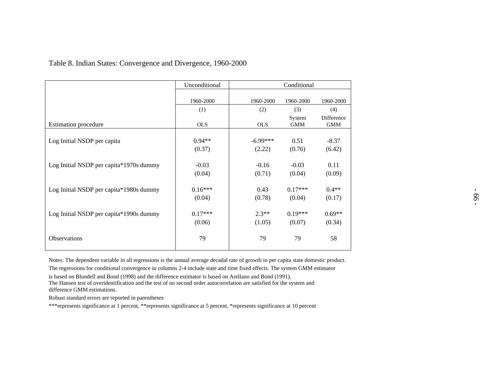|                                         | Unconditional |            | Conditional          |                          |
|-----------------------------------------|---------------|------------|----------------------|--------------------------|
|                                         | 1960-2000     | 1960-2000  | 1960-2000            | 1960-2000                |
|                                         | (1)           | (2)        | (3)                  | (4)                      |
| <b>Estimation</b> procedure             | <b>OLS</b>    | <b>OLS</b> | System<br><b>GMM</b> | Difference<br><b>GMM</b> |
| Log Initial NSDP per capita             | $0.94**$      | $-6.99***$ | 0.51                 | $-8.37$                  |
|                                         | (0.37)        | (2.22)     | (0.76)               | (6.42)                   |
| Log Initial NSDP per capita*1970s dummy | $-0.03$       | $-0.16$    | $-0.03$              | 0.11                     |
|                                         | (0.04)        | (0.71)     | (0.04)               | (0.09)                   |
| Log Initial NSDP per capita*1980s dummy | $0.16***$     | 0.43       | $0.17***$            | $0.4**$                  |
|                                         | (0.04)        | (0.78)     | (0.04)               | (0.17)                   |
| Log Initial NSDP per capita*1990s dummy | $0.17***$     | $2.3**$    | $0.19***$            | $0.69**$                 |
|                                         | (0.06)        | (1.05)     | (0.07)               | (0.34)                   |
| Observations                            | 79            | 79         | 79                   | 58                       |